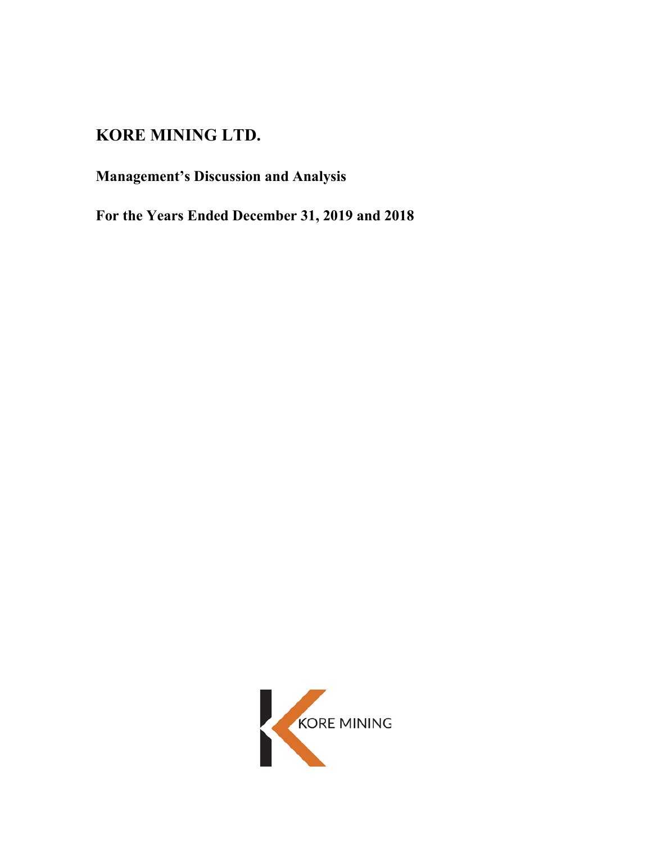# **KORE MINING LTD.**

# **Management's Discussion and Analysis**

**For the Years Ended December 31, 2019 and 2018**

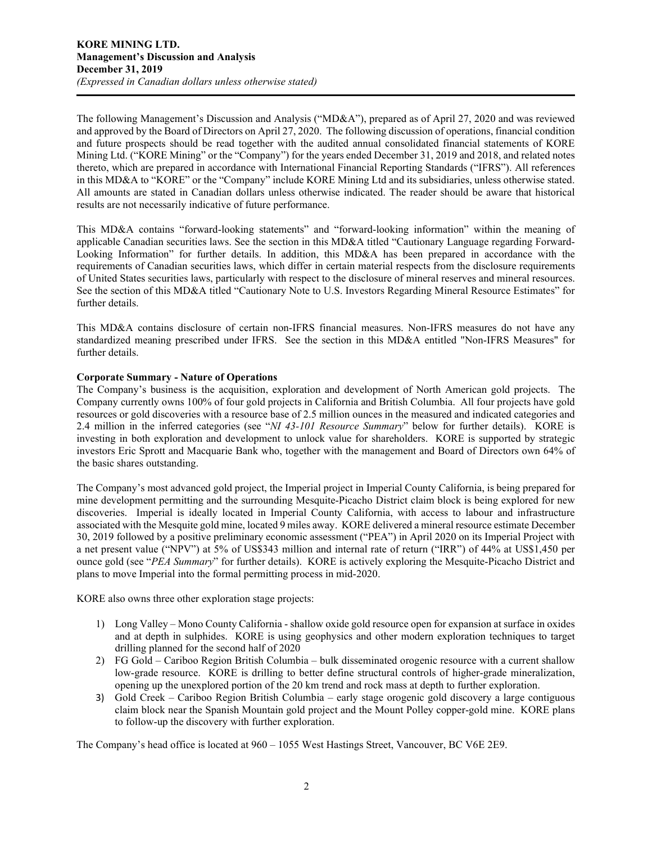The following Management's Discussion and Analysis ("MD&A"), prepared as of April 27, 2020 and was reviewed and approved by the Board of Directors on April 27, 2020. The following discussion of operations, financial condition and future prospects should be read together with the audited annual consolidated financial statements of KORE Mining Ltd. ("KORE Mining" or the "Company") for the years ended December 31, 2019 and 2018, and related notes thereto, which are prepared in accordance with International Financial Reporting Standards ("IFRS"). All references in this MD&A to "KORE" or the "Company" include KORE Mining Ltd and its subsidiaries, unless otherwise stated. All amounts are stated in Canadian dollars unless otherwise indicated. The reader should be aware that historical results are not necessarily indicative of future performance.

This MD&A contains "forward-looking statements" and "forward-looking information" within the meaning of applicable Canadian securities laws. See the section in this MD&A titled "Cautionary Language regarding Forward-Looking Information" for further details. In addition, this MD&A has been prepared in accordance with the requirements of Canadian securities laws, which differ in certain material respects from the disclosure requirements of United States securities laws, particularly with respect to the disclosure of mineral reserves and mineral resources. See the section of this MD&A titled "Cautionary Note to U.S. Investors Regarding Mineral Resource Estimates" for further details.

This MD&A contains disclosure of certain non-IFRS financial measures. Non-IFRS measures do not have any standardized meaning prescribed under IFRS. See the section in this MD&A entitled "Non-IFRS Measures" for further details.

# **Corporate Summary - Nature of Operations**

The Company's business is the acquisition, exploration and development of North American gold projects. The Company currently owns 100% of four gold projects in California and British Columbia. All four projects have gold resources or gold discoveries with a resource base of 2.5 million ounces in the measured and indicated categories and 2.4 million in the inferred categories (see "*NI 43-101 Resource Summary*" below for further details). KORE is investing in both exploration and development to unlock value for shareholders. KORE is supported by strategic investors Eric Sprott and Macquarie Bank who, together with the management and Board of Directors own 64% of the basic shares outstanding.

The Company's most advanced gold project, the Imperial project in Imperial County California, is being prepared for mine development permitting and the surrounding Mesquite-Picacho District claim block is being explored for new discoveries. Imperial is ideally located in Imperial County California, with access to labour and infrastructure associated with the Mesquite gold mine, located 9 miles away. KORE delivered a mineral resource estimate December 30, 2019 followed by a positive preliminary economic assessment ("PEA") in April 2020 on its Imperial Project with a net present value ("NPV") at 5% of US\$343 million and internal rate of return ("IRR") of 44% at US\$1,450 per ounce gold (see "*PEA Summary*" for further details). KORE is actively exploring the Mesquite-Picacho District and plans to move Imperial into the formal permitting process in mid-2020.

KORE also owns three other exploration stage projects:

- 1) Long Valley Mono County California shallow oxide gold resource open for expansion at surface in oxides and at depth in sulphides. KORE is using geophysics and other modern exploration techniques to target drilling planned for the second half of 2020
- 2) FG Gold Cariboo Region British Columbia bulk disseminated orogenic resource with a current shallow low-grade resource. KORE is drilling to better define structural controls of higher-grade mineralization, opening up the unexplored portion of the 20 km trend and rock mass at depth to further exploration.
- 3) Gold Creek Cariboo Region British Columbia early stage orogenic gold discovery a large contiguous claim block near the Spanish Mountain gold project and the Mount Polley copper-gold mine. KORE plans to follow-up the discovery with further exploration.

The Company's head office is located at 960 – 1055 West Hastings Street, Vancouver, BC V6E 2E9.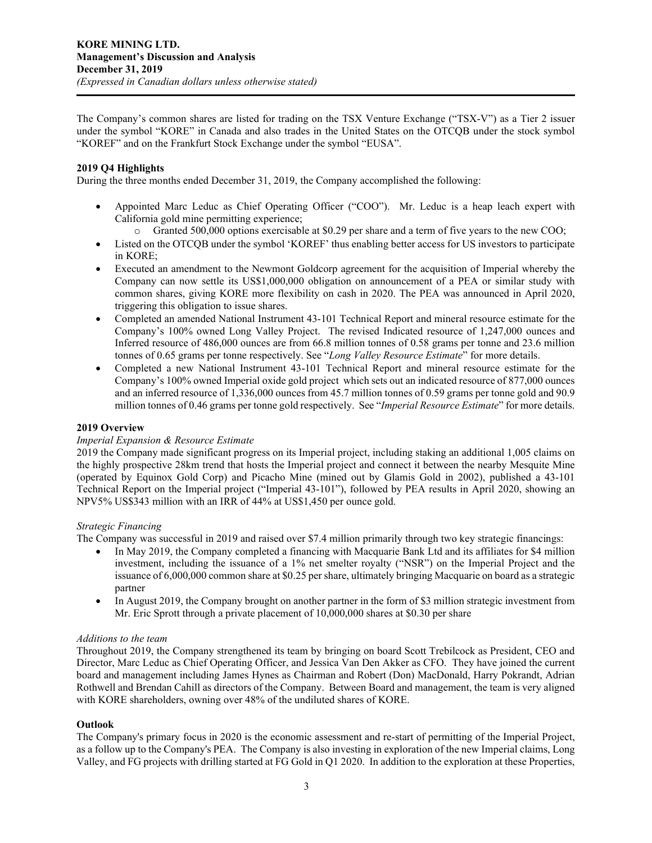The Company's common shares are listed for trading on the TSX Venture Exchange ("TSX-V") as a Tier 2 issuer under the symbol "KORE" in Canada and also trades in the United States on the OTCQB under the stock symbol "KOREF" and on the Frankfurt Stock Exchange under the symbol "EUSA".

# **2019 Q4 Highlights**

During the three months ended December 31, 2019, the Company accomplished the following:

- Appointed Marc Leduc as Chief Operating Officer ("COO"). Mr. Leduc is a heap leach expert with California gold mine permitting experience;
	- o Granted 500,000 options exercisable at \$0.29 per share and a term of five years to the new COO;
- Listed on the OTCQB under the symbol 'KOREF' thus enabling better access for US investors to participate in KORE;
- Executed an amendment to the Newmont Goldcorp agreement for the acquisition of Imperial whereby the Company can now settle its US\$1,000,000 obligation on announcement of a PEA or similar study with common shares, giving KORE more flexibility on cash in 2020. The PEA was announced in April 2020, triggering this obligation to issue shares.
- Completed an amended National Instrument 43-101 Technical Report and mineral resource estimate for the Company's 100% owned Long Valley Project. The revised Indicated resource of 1,247,000 ounces and Inferred resource of 486,000 ounces are from 66.8 million tonnes of 0.58 grams per tonne and 23.6 million tonnes of 0.65 grams per tonne respectively. See "*Long Valley Resource Estimate*" for more details.
- Completed a new National Instrument 43-101 Technical Report and mineral resource estimate for the Company's 100% owned Imperial oxide gold project which sets out an indicated resource of 877,000 ounces and an inferred resource of 1,336,000 ounces from 45.7 million tonnes of 0.59 grams per tonne gold and 90.9 million tonnes of 0.46 grams per tonne gold respectively. See "*Imperial Resource Estimate*" for more details.

# **2019 Overview**

# *Imperial Expansion & Resource Estimate*

2019 the Company made significant progress on its Imperial project, including staking an additional 1,005 claims on the highly prospective 28km trend that hosts the Imperial project and connect it between the nearby Mesquite Mine (operated by Equinox Gold Corp) and Picacho Mine (mined out by Glamis Gold in 2002), published a 43-101 Technical Report on the Imperial project ("Imperial 43-101"), followed by PEA results in April 2020, showing an NPV5% US\$343 million with an IRR of 44% at US\$1,450 per ounce gold.

#### *Strategic Financing*

The Company was successful in 2019 and raised over \$7.4 million primarily through two key strategic financings:

- In May 2019, the Company completed a financing with Macquarie Bank Ltd and its affiliates for \$4 million investment, including the issuance of a 1% net smelter royalty ("NSR") on the Imperial Project and the issuance of 6,000,000 common share at \$0.25 per share, ultimately bringing Macquarie on board as a strategic partner
- In August 2019, the Company brought on another partner in the form of \$3 million strategic investment from Mr. Eric Sprott through a private placement of 10,000,000 shares at \$0.30 per share

# *Additions to the team*

Throughout 2019, the Company strengthened its team by bringing on board Scott Trebilcock as President, CEO and Director, Marc Leduc as Chief Operating Officer, and Jessica Van Den Akker as CFO. They have joined the current board and management including James Hynes as Chairman and Robert (Don) MacDonald, Harry Pokrandt, Adrian Rothwell and Brendan Cahill as directors of the Company. Between Board and management, the team is very aligned with KORE shareholders, owning over 48% of the undiluted shares of KORE.

#### **Outlook**

The Company's primary focus in 2020 is the economic assessment and re-start of permitting of the Imperial Project, as a follow up to the Company's PEA. The Company is also investing in exploration of the new Imperial claims, Long Valley, and FG projects with drilling started at FG Gold in Q1 2020. In addition to the exploration at these Properties,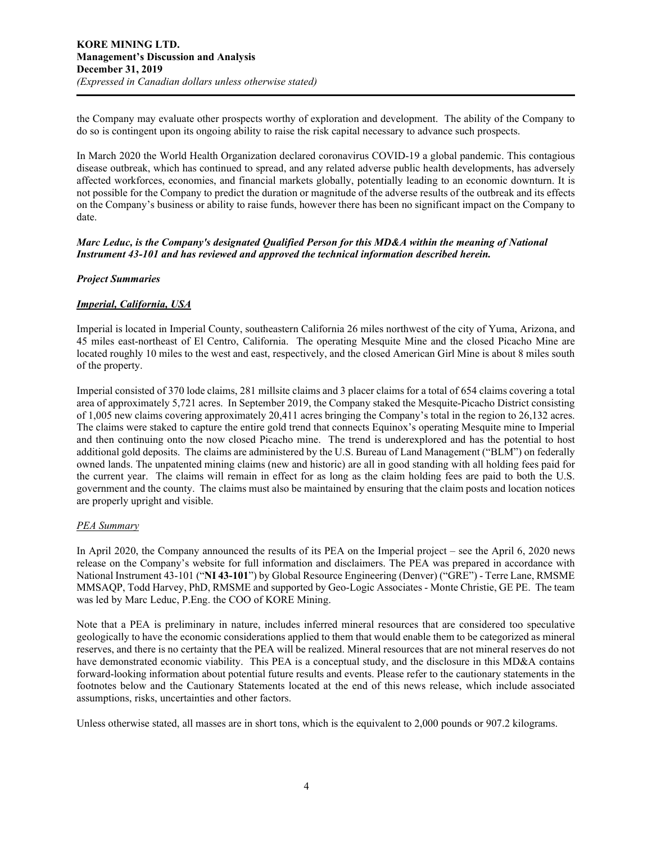the Company may evaluate other prospects worthy of exploration and development. The ability of the Company to do so is contingent upon its ongoing ability to raise the risk capital necessary to advance such prospects.

In March 2020 the World Health Organization declared coronavirus COVID-19 a global pandemic. This contagious disease outbreak, which has continued to spread, and any related adverse public health developments, has adversely affected workforces, economies, and financial markets globally, potentially leading to an economic downturn. It is not possible for the Company to predict the duration or magnitude of the adverse results of the outbreak and its effects on the Company's business or ability to raise funds, however there has been no significant impact on the Company to date.

# *Marc Leduc, is the Company's designated Qualified Person for this MD&A within the meaning of National Instrument 43-101 and has reviewed and approved the technical information described herein.*

## *Project Summaries*

## *Imperial, California, USA*

Imperial is located in Imperial County, southeastern California 26 miles northwest of the city of Yuma, Arizona, and 45 miles east-northeast of El Centro, California. The operating Mesquite Mine and the closed Picacho Mine are located roughly 10 miles to the west and east, respectively, and the closed American Girl Mine is about 8 miles south of the property.

Imperial consisted of 370 lode claims, 281 millsite claims and 3 placer claims for a total of 654 claims covering a total area of approximately 5,721 acres. In September 2019, the Company staked the Mesquite-Picacho District consisting of 1,005 new claims covering approximately 20,411 acres bringing the Company's total in the region to 26,132 acres. The claims were staked to capture the entire gold trend that connects Equinox's operating Mesquite mine to Imperial and then continuing onto the now closed Picacho mine. The trend is underexplored and has the potential to host additional gold deposits. The claims are administered by the U.S. Bureau of Land Management ("BLM") on federally owned lands. The unpatented mining claims (new and historic) are all in good standing with all holding fees paid for the current year. The claims will remain in effect for as long as the claim holding fees are paid to both the U.S. government and the county. The claims must also be maintained by ensuring that the claim posts and location notices are properly upright and visible.

#### *PEA Summary*

In April 2020, the Company announced the results of its PEA on the Imperial project – see the April 6, 2020 news release on the Company's website for full information and disclaimers. The PEA was prepared in accordance with National Instrument 43-101 ("**NI 43-101**") by Global Resource Engineering (Denver) ("GRE") - Terre Lane, RMSME MMSAQP, Todd Harvey, PhD, RMSME and supported by Geo-Logic Associates - Monte Christie, GE PE. The team was led by Marc Leduc, P.Eng. the COO of KORE Mining.

Note that a PEA is preliminary in nature, includes inferred mineral resources that are considered too speculative geologically to have the economic considerations applied to them that would enable them to be categorized as mineral reserves, and there is no certainty that the PEA will be realized. Mineral resources that are not mineral reserves do not have demonstrated economic viability. This PEA is a conceptual study, and the disclosure in this MD&A contains forward-looking information about potential future results and events. Please refer to the cautionary statements in the footnotes below and the Cautionary Statements located at the end of this news release, which include associated assumptions, risks, uncertainties and other factors.

Unless otherwise stated, all masses are in short tons, which is the equivalent to 2,000 pounds or 907.2 kilograms.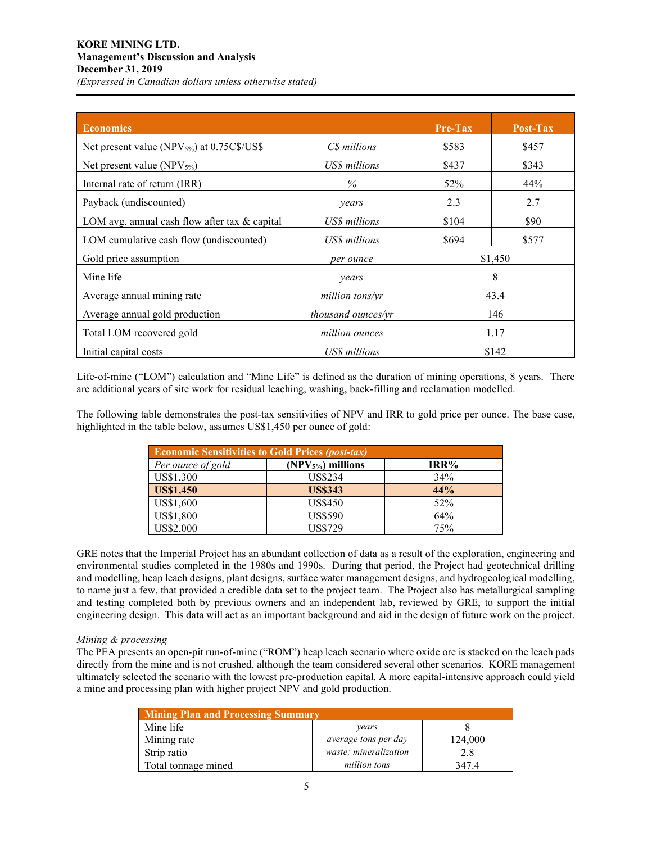| <b>Economics</b>                                       |                           | <b>Pre-Tax</b> | Post-Tax |
|--------------------------------------------------------|---------------------------|----------------|----------|
| Net present value (NPV <sub>5%</sub> ) at 0.75C\$/US\$ | C\$ millions              | \$583          | \$457    |
| Net present value (NPV $_{5\%}$ )                      | US\$ millions             | \$437          | \$343    |
| Internal rate of return (IRR)                          | $\%$                      | 52%            | 44%      |
| Payback (undiscounted)                                 | vears                     | 2.3            | 2.7      |
| LOM avg. annual cash flow after tax & capital          | <b>US\$</b> millions      | \$104          | \$90     |
| LOM cumulative cash flow (undiscounted)                | US\$ millions             | \$694          | \$577    |
| Gold price assumption                                  | per ounce                 |                | \$1,450  |
| Mine life                                              | vears                     |                | 8        |
| Average annual mining rate                             | million tons/yr           |                | 43.4     |
| Average annual gold production                         | <i>thousand ounces/yr</i> |                | 146      |
| Total LOM recovered gold                               | million ounces            |                | 1.17     |
| Initial capital costs                                  | US\$ millions             |                | \$142    |

Life-of-mine ("LOM") calculation and "Mine Life" is defined as the duration of mining operations, 8 years. There are additional years of site work for residual leaching, washing, back-filling and reclamation modelled.

The following table demonstrates the post-tax sensitivities of NPV and IRR to gold price per ounce. The base case, highlighted in the table below, assumes US\$1,450 per ounce of gold:

| <b>Economic Sensitivities to Gold Prices (post-tax)</b> |                    |      |  |  |  |
|---------------------------------------------------------|--------------------|------|--|--|--|
| Per ounce of gold                                       | $(NPV5%)$ millions | IRR% |  |  |  |
| US\$1,300                                               | US\$234            | 34%  |  |  |  |
| <b>US\$1,450</b>                                        | <b>US\$343</b>     | 44%  |  |  |  |
| US\$1,600                                               | <b>US\$450</b>     | 52%  |  |  |  |
| US\$1,800                                               | <b>US\$590</b>     | 64%  |  |  |  |
| US\$2,000                                               | <b>US\$729</b>     | 75%  |  |  |  |

GRE notes that the Imperial Project has an abundant collection of data as a result of the exploration, engineering and environmental studies completed in the 1980s and 1990s. During that period, the Project had geotechnical drilling and modelling, heap leach designs, plant designs, surface water management designs, and hydrogeological modelling, to name just a few, that provided a credible data set to the project team. The Project also has metallurgical sampling and testing completed both by previous owners and an independent lab, reviewed by GRE, to support the initial engineering design. This data will act as an important background and aid in the design of future work on the project.

#### *Mining & processing*

The PEA presents an open-pit run-of-mine ("ROM") heap leach scenario where oxide ore is stacked on the leach pads directly from the mine and is not crushed, although the team considered several other scenarios. KORE management ultimately selected the scenario with the lowest pre-production capital. A more capital-intensive approach could yield a mine and processing plan with higher project NPV and gold production.

| <b>Mining Plan and Processing Summary</b> |                             |         |  |  |  |
|-------------------------------------------|-----------------------------|---------|--|--|--|
| Mine life                                 | vears                       |         |  |  |  |
| Mining rate                               | <i>average tons per day</i> | 124,000 |  |  |  |
| Strip ratio                               | waste: mineralization       | 2.8     |  |  |  |
| Total tonnage mined                       | million tons                | 3474    |  |  |  |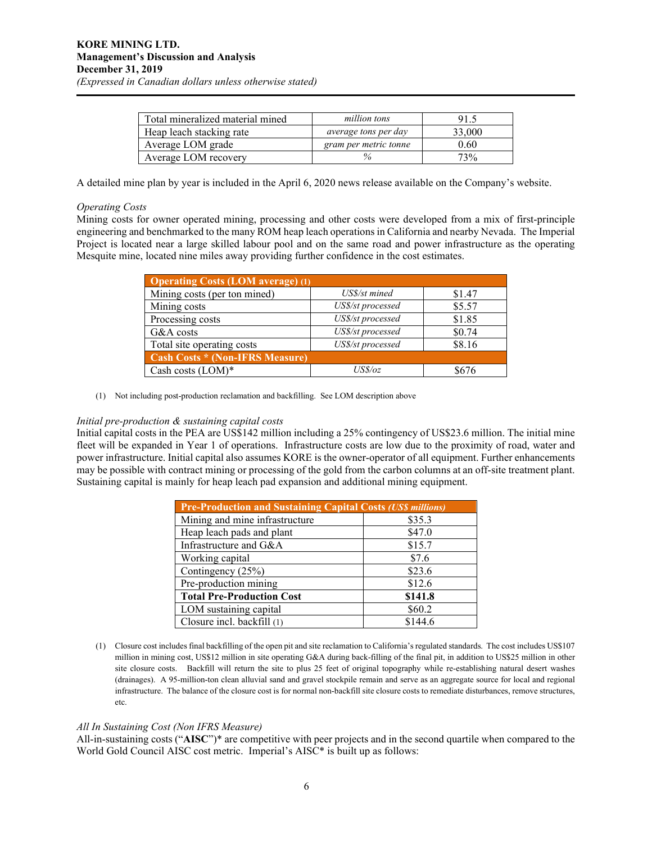| Total mineralized material mined | million tons                | 91.5   |
|----------------------------------|-----------------------------|--------|
| Heap leach stacking rate         | <i>average tons per day</i> | 33,000 |
| Average LOM grade                | gram per metric tonne       | 0.60   |
| Average LOM recovery             |                             | 73%    |

A detailed mine plan by year is included in the April 6, 2020 news release available on the Company's website.

#### *Operating Costs*

Mining costs for owner operated mining, processing and other costs were developed from a mix of first-principle engineering and benchmarked to the many ROM heap leach operations in California and nearby Nevada. The Imperial Project is located near a large skilled labour pool and on the same road and power infrastructure as the operating Mesquite mine, located nine miles away providing further confidence in the cost estimates.

| <b>Operating Costs <math>\overline{(LOM average)(1)}</math></b> |                   |        |  |  |
|-----------------------------------------------------------------|-------------------|--------|--|--|
| Mining costs (per ton mined)                                    | US\$/st mined     | \$1.47 |  |  |
| Mining costs                                                    | US\$/st processed | \$5.57 |  |  |
| Processing costs                                                | US\$/st processed | \$1.85 |  |  |
| G&A costs                                                       | US\$/st processed | \$0.74 |  |  |
| Total site operating costs                                      | US\$/st processed | \$8.16 |  |  |
| <b>Cash Costs * (Non-IFRS Measure)</b>                          |                   |        |  |  |
| Cash costs $(LOM)^*$                                            | USS/oz            | 8676   |  |  |

(1) Not including post-production reclamation and backfilling. See LOM description above

#### *Initial pre-production & sustaining capital costs*

Initial capital costs in the PEA are US\$142 million including a 25% contingency of US\$23.6 million. The initial mine fleet will be expanded in Year 1 of operations. Infrastructure costs are low due to the proximity of road, water and power infrastructure. Initial capital also assumes KORE is the owner-operator of all equipment. Further enhancements may be possible with contract mining or processing of the gold from the carbon columns at an off-site treatment plant. Sustaining capital is mainly for heap leach pad expansion and additional mining equipment.

| <b>Pre-Production and Sustaining Capital Costs (US\$ millions)</b> |         |  |  |
|--------------------------------------------------------------------|---------|--|--|
| Mining and mine infrastructure                                     | \$35.3  |  |  |
| Heap leach pads and plant                                          | \$47.0  |  |  |
| Infrastructure and G&A                                             | \$15.7  |  |  |
| Working capital                                                    | \$7.6   |  |  |
| Contingency (25%)                                                  | \$23.6  |  |  |
| Pre-production mining                                              | \$12.6  |  |  |
| <b>Total Pre-Production Cost</b>                                   | \$141.8 |  |  |
| LOM sustaining capital                                             | \$60.2  |  |  |
| Closure incl. backfill (1)                                         | \$144.6 |  |  |

(1) Closure cost includes final backfilling of the open pit and site reclamation to California's regulated standards. The cost includes US\$107 million in mining cost, US\$12 million in site operating G&A during back-filling of the final pit, in addition to US\$25 million in other site closure costs. Backfill will return the site to plus 25 feet of original topography while re-establishing natural desert washes (drainages). A 95-million-ton clean alluvial sand and gravel stockpile remain and serve as an aggregate source for local and regional infrastructure. The balance of the closure cost is for normal non-backfill site closure costs to remediate disturbances, remove structures, etc.

#### *All In Sustaining Cost (Non IFRS Measure)*

All-in-sustaining costs ("**AISC**")\* are competitive with peer projects and in the second quartile when compared to the World Gold Council AISC cost metric. Imperial's AISC<sup>\*</sup> is built up as follows: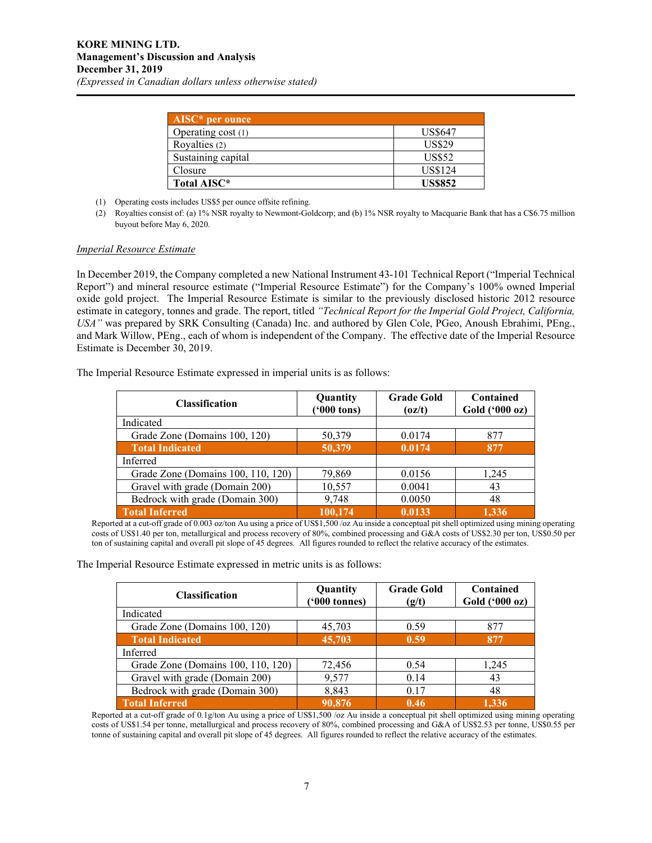| $AISC*$ per ounce  |                |
|--------------------|----------------|
| Operating cost (1) | <b>US\$647</b> |
| Royalties (2)      | <b>US\$29</b>  |
| Sustaining capital | <b>US\$52</b>  |
| Closure            | <b>US\$124</b> |
| Total AISC*        | <b>US\$852</b> |

- (1) Operating costs includes US\$5 per ounce offsite refining.
- (2) Royalties consist of: (a) 1% NSR royalty to Newmont-Goldcorp; and (b) 1% NSR royalty to Macquarie Bank that has a C\$6.75 million buyout before May 6, 2020.

#### *Imperial Resource Estimate*

In December 2019, the Company completed a new National Instrument 43-101 Technical Report ("Imperial Technical Report") and mineral resource estimate ("Imperial Resource Estimate") for the Company's 100% owned Imperial oxide gold project. The Imperial Resource Estimate is similar to the previously disclosed historic 2012 resource estimate in category, tonnes and grade. The report, titled *"Technical Report for the Imperial Gold Project, California, USA"* was prepared by SRK Consulting (Canada) Inc. and authored by Glen Cole, PGeo, Anoush Ebrahimi, PEng., and Mark Willow, PEng., each of whom is independent of the Company. The effective date of the Imperial Resource Estimate is December 30, 2019.

The Imperial Resource Estimate expressed in imperial units is as follows:

| <b>Classification</b>              | Quantity<br>$(900 \text{ tons})$ | <b>Grade Gold</b><br>(oz/t) | Contained<br>Gold ('000 oz) |
|------------------------------------|----------------------------------|-----------------------------|-----------------------------|
| Indicated                          |                                  |                             |                             |
| Grade Zone (Domains 100, 120)      | 50,379                           | 0.0174                      | 877                         |
| <b>Total Indicated</b>             | 50,379                           | 0.0174                      | 877                         |
| Inferred                           |                                  |                             |                             |
| Grade Zone (Domains 100, 110, 120) | 79,869                           | 0.0156                      | 1,245                       |
| Gravel with grade (Domain 200)     | 10,557                           | 0.0041                      | 43                          |
| Bedrock with grade (Domain 300)    | 9,748                            | 0.0050                      | 48                          |
| <b>Total Inferred</b>              | 100,174                          | 0.0133                      | 1.336                       |

Reported at a cut-off grade of 0.003 oz/ton Au using a price of US\$1,500 /oz Au inside a conceptual pit shell optimized using mining operating costs of US\$1.40 per ton, metallurgical and process recovery of 80%, combined processing and G&A costs of US\$2.30 per ton, US\$0.50 per ton of sustaining capital and overall pit slope of 45 degrees. All figures rounded to reflect the relative accuracy of the estimates.

The Imperial Resource Estimate expressed in metric units is as follows:

| <b>Classification</b>              | Quantity<br>$(900 \text{ tonnes})$ | <b>Grade Gold</b><br>(g/t) | Contained<br>Gold ('000 oz) |
|------------------------------------|------------------------------------|----------------------------|-----------------------------|
| Indicated                          |                                    |                            |                             |
| Grade Zone (Domains 100, 120)      | 45,703                             | 0.59                       | 877                         |
| <b>Total Indicated</b>             | 45,703                             | 0.59                       | 877                         |
| Inferred                           |                                    |                            |                             |
| Grade Zone (Domains 100, 110, 120) | 72,456                             | 0.54                       | 1,245                       |
| Gravel with grade (Domain 200)     | 9,577                              | 0.14                       | 43                          |
| Bedrock with grade (Domain 300)    | 8,843                              | 0.17                       | 48                          |
| Total Inferred                     | 90,876                             | 0.46                       | 1.336                       |

Reported at a cut-off grade of 0.1g/ton Au using a price of US\$1,500 /oz Au inside a conceptual pit shell optimized using mining operating costs of US\$1.54 per tonne, metallurgical and process recovery of 80%, combined processing and G&A of US\$2.53 per tonne, US\$0.55 per tonne of sustaining capital and overall pit slope of 45 degrees. All figures rounded to reflect the relative accuracy of the estimates.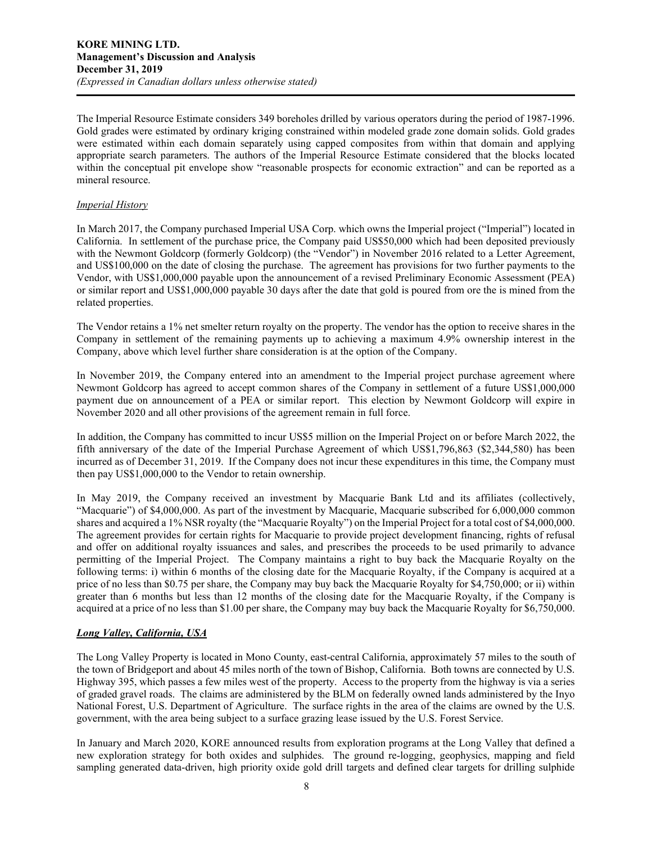The Imperial Resource Estimate considers 349 boreholes drilled by various operators during the period of 1987-1996. Gold grades were estimated by ordinary kriging constrained within modeled grade zone domain solids. Gold grades were estimated within each domain separately using capped composites from within that domain and applying appropriate search parameters. The authors of the Imperial Resource Estimate considered that the blocks located within the conceptual pit envelope show "reasonable prospects for economic extraction" and can be reported as a mineral resource.

## *Imperial History*

In March 2017, the Company purchased Imperial USA Corp. which owns the Imperial project ("Imperial") located in California. In settlement of the purchase price, the Company paid US\$50,000 which had been deposited previously with the Newmont Goldcorp (formerly Goldcorp) (the "Vendor") in November 2016 related to a Letter Agreement, and US\$100,000 on the date of closing the purchase. The agreement has provisions for two further payments to the Vendor, with US\$1,000,000 payable upon the announcement of a revised Preliminary Economic Assessment (PEA) or similar report and US\$1,000,000 payable 30 days after the date that gold is poured from ore the is mined from the related properties.

The Vendor retains a 1% net smelter return royalty on the property. The vendor has the option to receive shares in the Company in settlement of the remaining payments up to achieving a maximum 4.9% ownership interest in the Company, above which level further share consideration is at the option of the Company.

In November 2019, the Company entered into an amendment to the Imperial project purchase agreement where Newmont Goldcorp has agreed to accept common shares of the Company in settlement of a future US\$1,000,000 payment due on announcement of a PEA or similar report. This election by Newmont Goldcorp will expire in November 2020 and all other provisions of the agreement remain in full force.

In addition, the Company has committed to incur US\$5 million on the Imperial Project on or before March 2022, the fifth anniversary of the date of the Imperial Purchase Agreement of which US\$1,796,863 (\$2,344,580) has been incurred as of December 31, 2019. If the Company does not incur these expenditures in this time, the Company must then pay US\$1,000,000 to the Vendor to retain ownership.

In May 2019, the Company received an investment by Macquarie Bank Ltd and its affiliates (collectively, "Macquarie") of \$4,000,000. As part of the investment by Macquarie, Macquarie subscribed for 6,000,000 common shares and acquired a 1% NSR royalty (the "Macquarie Royalty") on the Imperial Project for a total cost of \$4,000,000. The agreement provides for certain rights for Macquarie to provide project development financing, rights of refusal and offer on additional royalty issuances and sales, and prescribes the proceeds to be used primarily to advance permitting of the Imperial Project. The Company maintains a right to buy back the Macquarie Royalty on the following terms: i) within 6 months of the closing date for the Macquarie Royalty, if the Company is acquired at a price of no less than \$0.75 per share, the Company may buy back the Macquarie Royalty for \$4,750,000; or ii) within greater than 6 months but less than 12 months of the closing date for the Macquarie Royalty, if the Company is acquired at a price of no less than \$1.00 per share, the Company may buy back the Macquarie Royalty for \$6,750,000.

# *Long Valley, California, USA*

The Long Valley Property is located in Mono County, east-central California, approximately 57 miles to the south of the town of Bridgeport and about 45 miles north of the town of Bishop, California. Both towns are connected by U.S. Highway 395, which passes a few miles west of the property. Access to the property from the highway is via a series of graded gravel roads. The claims are administered by the BLM on federally owned lands administered by the Inyo National Forest, U.S. Department of Agriculture. The surface rights in the area of the claims are owned by the U.S. government, with the area being subject to a surface grazing lease issued by the U.S. Forest Service.

In January and March 2020, KORE announced results from exploration programs at the Long Valley that defined a new exploration strategy for both oxides and sulphides. The ground re-logging, geophysics, mapping and field sampling generated data-driven, high priority oxide gold drill targets and defined clear targets for drilling sulphide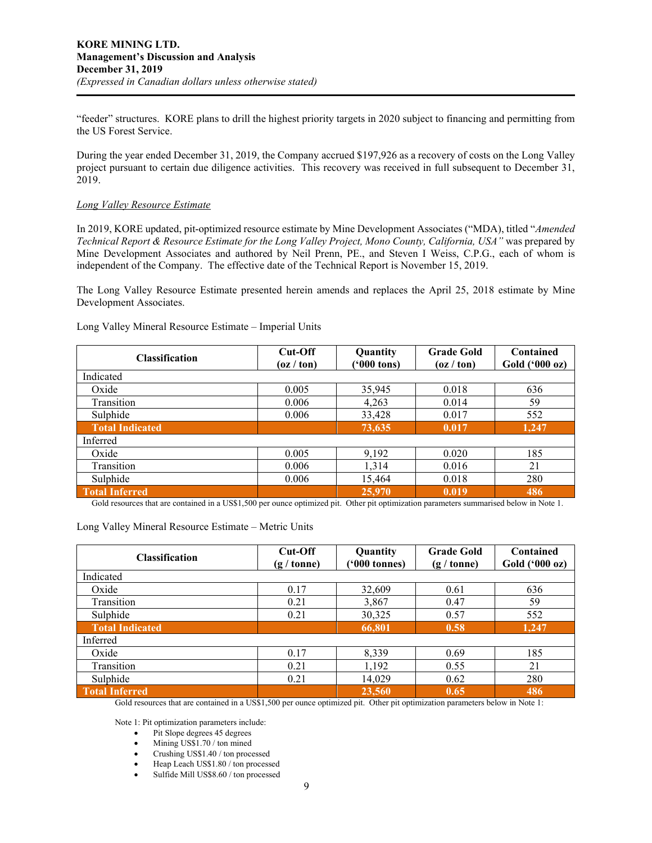"feeder" structures. KORE plans to drill the highest priority targets in 2020 subject to financing and permitting from the US Forest Service.

During the year ended December 31, 2019, the Company accrued \$197,926 as a recovery of costs on the Long Valley project pursuant to certain due diligence activities. This recovery was received in full subsequent to December 31, 2019.

#### *Long Valley Resource Estimate*

In 2019, KORE updated, pit-optimized resource estimate by Mine Development Associates ("MDA), titled "*Amended Technical Report & Resource Estimate for the Long Valley Project, Mono County, California, USA"* was prepared by Mine Development Associates and authored by Neil Prenn, PE., and Steven I Weiss, C.P.G., each of whom is independent of the Company. The effective date of the Technical Report is November 15, 2019.

The Long Valley Resource Estimate presented herein amends and replaces the April 25, 2018 estimate by Mine Development Associates.

| <b>Classification</b>  | Cut-Off<br>(oz / ton) | Quantity<br>$(900 \text{ tons})$ | <b>Grade Gold</b><br>$\left( \frac{\alpha}{\alpha} \right)$ ton) | Contained<br>Gold ('000 oz) |
|------------------------|-----------------------|----------------------------------|------------------------------------------------------------------|-----------------------------|
| Indicated              |                       |                                  |                                                                  |                             |
| Oxide                  | 0.005                 | 35,945                           | 0.018                                                            | 636                         |
| Transition             | 0.006                 | 4,263                            | 0.014                                                            | 59                          |
| Sulphide               | 0.006                 | 33,428                           | 0.017                                                            | 552                         |
| <b>Total Indicated</b> |                       | 73,635                           | 0.017                                                            | 1,247                       |
| Inferred               |                       |                                  |                                                                  |                             |
| Oxide                  | 0.005                 | 9,192                            | 0.020                                                            | 185                         |
| Transition             | 0.006                 | 1,314                            | 0.016                                                            | 21                          |
| Sulphide               | 0.006                 | 15,464                           | 0.018                                                            | 280                         |
| <b>Total Inferred</b>  |                       | 25,970                           | 0.019                                                            | 486                         |

Long Valley Mineral Resource Estimate – Imperial Units

Gold resources that are contained in a US\$1,500 per ounce optimized pit. Other pit optimization parameters summarised below in Note 1.

Long Valley Mineral Resource Estimate – Metric Units

| <b>Classification</b>  | Cut-Off<br>$(g / \text{tonne})$ | Quantity<br>$(900 \text{ tonnes})$ | <b>Grade Gold</b><br>$(g / \text{tonne})$ | Contained<br>Gold ('000 oz) |
|------------------------|---------------------------------|------------------------------------|-------------------------------------------|-----------------------------|
| Indicated              |                                 |                                    |                                           |                             |
| Oxide                  | 0.17                            | 32,609                             | 0.61                                      | 636                         |
| Transition             | 0.21                            | 3,867                              | 0.47                                      | 59                          |
| Sulphide               | 0.21                            | 30,325                             | 0.57                                      | 552                         |
| <b>Total Indicated</b> |                                 | 66,801                             | 0.58                                      | 1,247                       |
| Inferred               |                                 |                                    |                                           |                             |
| Oxide                  | 0.17                            | 8,339                              | 0.69                                      | 185                         |
| Transition             | 0.21                            | 1,192                              | 0.55                                      | 21                          |
| Sulphide               | 0.21                            | 14,029                             | 0.62                                      | 280                         |
| <b>Total Inferred</b>  |                                 | 23,560                             | 0.65                                      | 486                         |

Gold resources that are contained in a US\$1,500 per ounce optimized pit. Other pit optimization parameters below in Note 1:

Note 1: Pit optimization parameters include:

- Pit Slope degrees 45 degrees
- Mining US\$1.70 / ton mined
- Crushing US\$1.40 / ton processed
- Heap Leach US\$1.80 / ton processed
- Sulfide Mill US\$8.60 / ton processed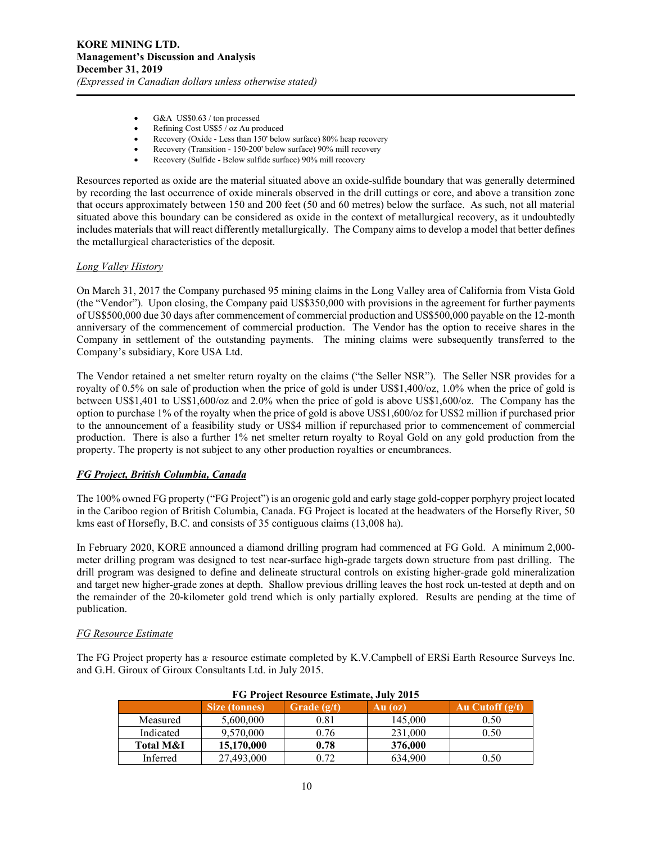- G&A US\$0.63 / ton processed
- Refining Cost US\$5 / oz Au produced
- Recovery (Oxide Less than 150' below surface) 80% heap recovery
- Recovery (Transition 150-200' below surface) 90% mill recovery
- Recovery (Sulfide Below sulfide surface) 90% mill recovery

Resources reported as oxide are the material situated above an oxide-sulfide boundary that was generally determined by recording the last occurrence of oxide minerals observed in the drill cuttings or core, and above a transition zone that occurs approximately between 150 and 200 feet (50 and 60 metres) below the surface. As such, not all material situated above this boundary can be considered as oxide in the context of metallurgical recovery, as it undoubtedly includes materials that will react differently metallurgically. The Company aims to develop a model that better defines the metallurgical characteristics of the deposit.

## *Long Valley History*

On March 31, 2017 the Company purchased 95 mining claims in the Long Valley area of California from Vista Gold (the "Vendor"). Upon closing, the Company paid US\$350,000 with provisions in the agreement for further payments of US\$500,000 due 30 days after commencement of commercial production and US\$500,000 payable on the 12-month anniversary of the commencement of commercial production. The Vendor has the option to receive shares in the Company in settlement of the outstanding payments. The mining claims were subsequently transferred to the Company's subsidiary, Kore USA Ltd.

The Vendor retained a net smelter return royalty on the claims ("the Seller NSR"). The Seller NSR provides for a royalty of 0.5% on sale of production when the price of gold is under US\$1,400/oz, 1.0% when the price of gold is between US\$1,401 to US\$1,600/oz and 2.0% when the price of gold is above US\$1,600/oz. The Company has the option to purchase 1% of the royalty when the price of gold is above US\$1,600/oz for US\$2 million if purchased prior to the announcement of a feasibility study or US\$4 million if repurchased prior to commencement of commercial production. There is also a further 1% net smelter return royalty to Royal Gold on any gold production from the property. The property is not subject to any other production royalties or encumbrances.

# *FG Project, British Columbia, Canada*

The 100% owned FG property ("FG Project") is an orogenic gold and early stage gold-copper porphyry project located in the Cariboo region of British Columbia, Canada. FG Project is located at the headwaters of the Horsefly River, 50 kms east of Horsefly, B.C. and consists of 35 contiguous claims (13,008 ha).

In February 2020, KORE announced a diamond drilling program had commenced at FG Gold. A minimum 2,000 meter drilling program was designed to test near-surface high-grade targets down structure from past drilling. The drill program was designed to define and delineate structural controls on existing higher-grade gold mineralization and target new higher-grade zones at depth. Shallow previous drilling leaves the host rock un-tested at depth and on the remainder of the 20-kilometer gold trend which is only partially explored. Results are pending at the time of publication.

#### *FG Resource Estimate*

The FG Project property has a resource estimate completed by K.V.Campbell of ERSi Earth Resource Surveys Inc. and G.H. Giroux of Giroux Consultants Ltd. in July 2015.

| FG Project Resource Estimate, July 2015 |               |               |         |                   |
|-----------------------------------------|---------------|---------------|---------|-------------------|
|                                         | Size (tonnes) | Grade $(g/t)$ | Au (oz) | Au Cutoff $(g/t)$ |
| Measured                                | 5,600,000     | 0.81          | 145,000 | 0.50              |
| Indicated                               | 9,570,000     | 0.76          | 231,000 | 0.50              |
| Total M&I                               | 15,170,000    | 0.78          | 376,000 |                   |
| Inferred                                | 27,493,000    | 0.72          | 634,900 | 0.50              |

# **FG Project Resource Estimate, July 2015**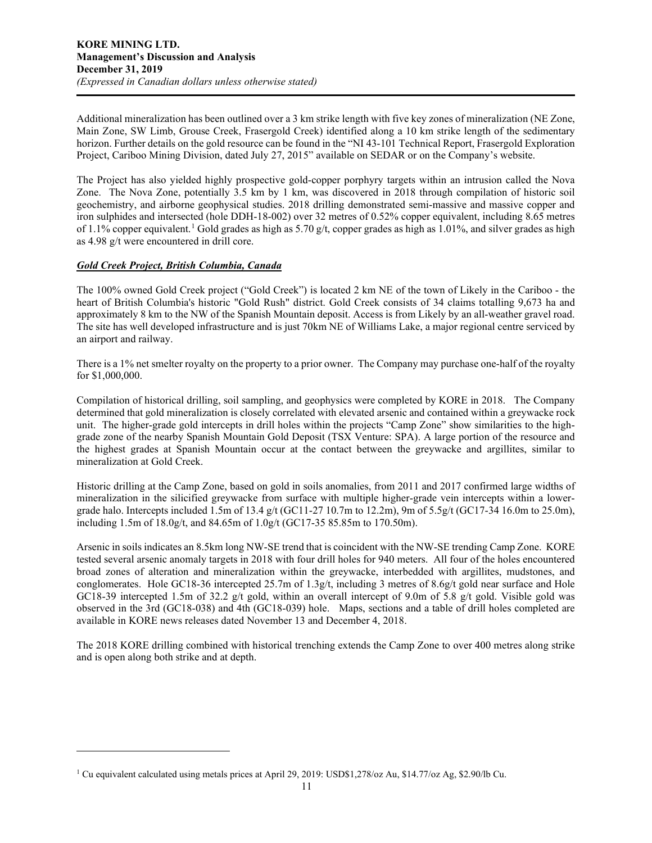Additional mineralization has been outlined over a 3 km strike length with five key zones of mineralization (NE Zone, Main Zone, SW Limb, Grouse Creek, Frasergold Creek) identified along a 10 km strike length of the sedimentary horizon. Further details on the gold resource can be found in the "NI 43-101 Technical Report, Frasergold Exploration Project, Cariboo Mining Division, dated July 27, 2015" available on SEDAR or on the Company's website.

The Project has also yielded highly prospective gold-copper porphyry targets within an intrusion called the Nova Zone. The Nova Zone, potentially 3.5 km by 1 km, was discovered in 2018 through compilation of historic soil geochemistry, and airborne geophysical studies. 2018 drilling demonstrated semi-massive and massive copper and iron sulphides and intersected (hole DDH-18-002) over 32 metres of 0.52% copper equivalent, including 8.65 metres of [1](#page-10-0).1% copper equivalent.<sup>1</sup> Gold grades as high as 5.70 g/t, copper grades as high as 1.01%, and silver grades as high as 4.98 g/t were encountered in drill core.

# *Gold Creek Project, British Columbia, Canada*

The 100% owned Gold Creek project ("Gold Creek") is located 2 km NE of the town of Likely in the Cariboo - the heart of British Columbia's historic "Gold Rush" district. Gold Creek consists of 34 claims totalling 9,673 ha and approximately 8 km to the NW of the Spanish Mountain deposit. Access is from Likely by an all-weather gravel road. The site has well developed infrastructure and is just 70km NE of Williams Lake, a major regional centre serviced by an airport and railway.

There is a 1% net smelter royalty on the property to a prior owner. The Company may purchase one-half of the royalty for \$1,000,000.

Compilation of historical drilling, soil sampling, and geophysics were completed by KORE in 2018. The Company determined that gold mineralization is closely correlated with elevated arsenic and contained within a greywacke rock unit. The higher-grade gold intercepts in drill holes within the projects "Camp Zone" show similarities to the highgrade zone of the nearby Spanish Mountain Gold Deposit (TSX Venture: SPA). A large portion of the resource and the highest grades at Spanish Mountain occur at the contact between the greywacke and argillites, similar to mineralization at Gold Creek.

Historic drilling at the Camp Zone, based on gold in soils anomalies, from 2011 and 2017 confirmed large widths of mineralization in the silicified greywacke from surface with multiple higher-grade vein intercepts within a lowergrade halo. Intercepts included 1.5m of 13.4 g/t (GC11-27 10.7m to 12.2m), 9m of 5.5g/t (GC17-34 16.0m to 25.0m), including 1.5m of 18.0g/t, and 84.65m of 1.0g/t (GC17-35 85.85m to 170.50m).

Arsenic in soils indicates an 8.5km long NW-SE trend that is coincident with the NW-SE trending Camp Zone. KORE tested several arsenic anomaly targets in 2018 with four drill holes for 940 meters. All four of the holes encountered broad zones of alteration and mineralization within the greywacke, interbedded with argillites, mudstones, and conglomerates. Hole GC18-36 intercepted 25.7m of 1.3g/t, including 3 metres of 8.6g/t gold near surface and Hole GC18-39 intercepted 1.5m of 32.2 g/t gold, within an overall intercept of 9.0m of 5.8 g/t gold. Visible gold was observed in the 3rd (GC18-038) and 4th (GC18-039) hole. Maps, sections and a table of drill holes completed are available in KORE news releases dated November 13 and December 4, 2018.

The 2018 KORE drilling combined with historical trenching extends the Camp Zone to over 400 metres along strike and is open along both strike and at depth.

<span id="page-10-0"></span><sup>1</sup> Cu equivalent calculated using metals prices at April 29, 2019: USD\$1,278/oz Au, \$14.77/oz Ag, \$2.90/lb Cu.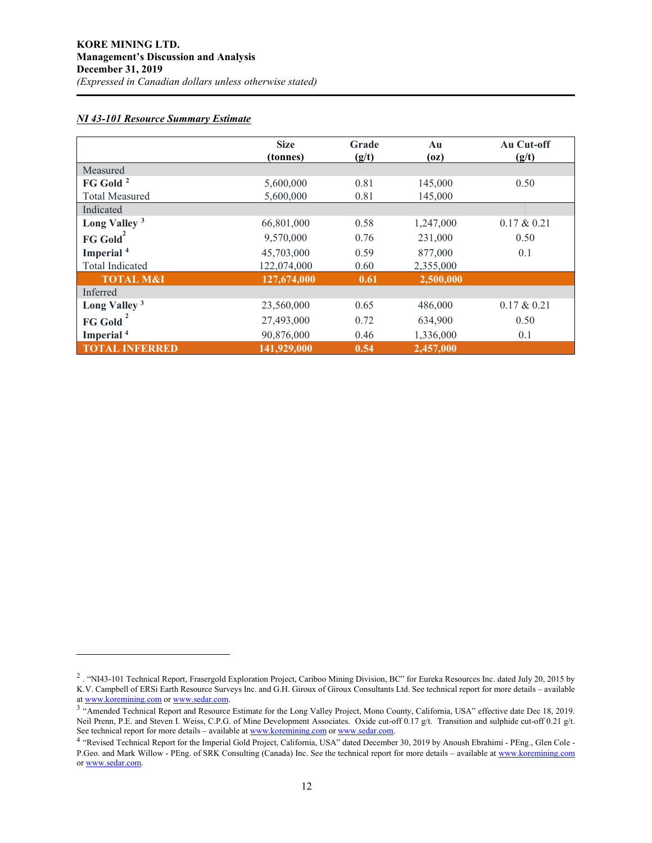# *NI 43-101 Resource Summary Estimate*

|                          | <b>Size</b> | Grade | Au        | Au Cut-off     |
|--------------------------|-------------|-------|-----------|----------------|
|                          | (tonnes)    | (g/t) | (oz)      | (g/t)          |
| Measured                 |             |       |           |                |
| FG Gold <sup>2</sup>     | 5,600,000   | 0.81  | 145,000   | 0.50           |
| <b>Total Measured</b>    | 5,600,000   | 0.81  | 145,000   |                |
| Indicated                |             |       |           |                |
| Long Valley <sup>3</sup> | 66,801,000  | 0.58  | 1,247,000 | $0.17 \& 0.21$ |
| $FG$ Gold <sup>2</sup>   | 9,570,000   | 0.76  | 231,000   | 0.50           |
| Imperial <sup>4</sup>    | 45,703,000  | 0.59  | 877,000   | 0.1            |
| Total Indicated          | 122,074,000 | 0.60  | 2,355,000 |                |
| <b>TOTAL M&amp;I</b>     | 127,674,000 | 0.61  | 2,500,000 |                |
| Inferred                 |             |       |           |                |
| Long Valley <sup>3</sup> | 23,560,000  | 0.65  | 486,000   | $0.17 \& 0.21$ |
| FG Gold                  | 27,493,000  | 0.72  | 634,900   | 0.50           |
| Imperial <sup>4</sup>    | 90,876,000  | 0.46  | 1,336,000 | 0.1            |
| <b>TOTAL INFERRED</b>    | 141,929,000 | 0.54  | 2,457,000 |                |

<span id="page-11-0"></span><sup>&</sup>lt;sup>2</sup> . "NI43-101 Technical Report, Frasergold Exploration Project, Cariboo Mining Division, BC" for Eureka Resources Inc. dated July 20, 2015 by K.V. Campbell of ERSi Earth Resource Surveys Inc. and G.H. Giroux of Giroux Consultants Ltd. See technical report for more details – available at www.koremining.com or www.sedar.com.

<span id="page-11-1"></span><sup>&</sup>lt;sup>3</sup> "Amended Technical Rep[o](http://www.koremining.com/)rt and Resource Estimate for the Long Valley Project, Mono County, California, USA" effective date Dec 18, 2019. Neil Prenn, P.E. and Steven I. Weiss, C.P.G. of Mine Development Associates. Oxide cut-off 0.17 g/t. Transition and sulphide cut-off 0.21 g/t. See technical report for more details – available at [www.koremining.com](http://www.koremining.com/) o[r www.sedar.com.](http://www.sedar.com/)

<span id="page-11-2"></span><sup>4</sup> "Revised Technical Report for the Imperial Gold Project, California, USA" dated December 30, 2019 by Anoush Ebrahimi - PEng., Glen Cole P.Geo. and Mark Willow - PEng. of SRK Consulting (Canada) Inc. See the technical report for more details – available a[t www.koremining.com](http://www.koremining.com/) o[r www.sedar.com.](http://www.sedar.com/)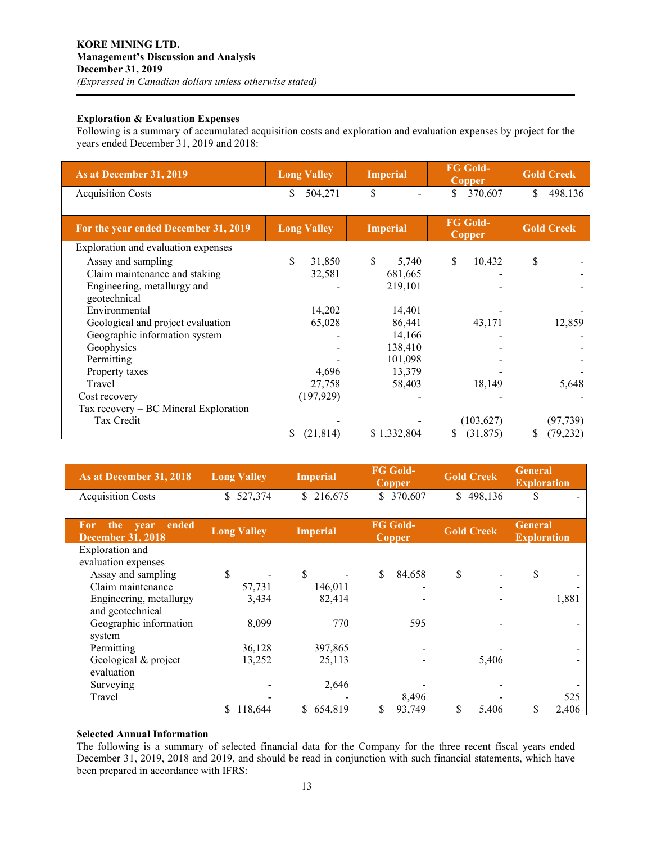# **Exploration & Evaluation Expenses**

Following is a summary of accumulated acquisition costs and exploration and evaluation expenses by project for the years ended December 31, 2019 and 2018:

| As at December 31, 2019                 | <b>Long Valley</b> | <b>Imperial</b> | <b>FG Gold-</b><br>Copper        | <b>Gold Creek</b> |  |
|-----------------------------------------|--------------------|-----------------|----------------------------------|-------------------|--|
| <b>Acquisition Costs</b>                | \$<br>504,271      | \$              | \$<br>370,607                    | \$<br>498,136     |  |
| For the year ended December 31, 2019    | <b>Long Valley</b> | <b>Imperial</b> | <b>FG Gold-</b><br><b>Copper</b> | <b>Gold Creek</b> |  |
| Exploration and evaluation expenses     |                    |                 |                                  |                   |  |
| Assay and sampling                      | \$<br>31,850       | \$.<br>5,740    | \$<br>10,432                     | \$                |  |
| Claim maintenance and staking           | 32,581             | 681,665         |                                  |                   |  |
| Engineering, metallurgy and             |                    | 219,101         |                                  |                   |  |
| geotechnical                            |                    |                 |                                  |                   |  |
| Environmental                           | 14,202             | 14,401          |                                  |                   |  |
| Geological and project evaluation       | 65,028             | 86,441          | 43,171                           | 12,859            |  |
| Geographic information system           |                    | 14,166          |                                  |                   |  |
| Geophysics                              |                    | 138,410         |                                  |                   |  |
| Permitting                              |                    | 101,098         |                                  |                   |  |
| Property taxes                          | 4,696              | 13,379          |                                  |                   |  |
| Travel                                  | 27,758             | 58,403          | 18,149                           | 5,648             |  |
| Cost recovery                           | (197, 929)         |                 |                                  |                   |  |
| Tax recovery $-$ BC Mineral Exploration |                    |                 |                                  |                   |  |
| Tax Credit                              |                    |                 | (103, 627)                       | (97, 739)         |  |
|                                         | S<br>(21, 814)     | \$1,332,804     | \$<br>(31,875)                   | (79, 232)         |  |

| As at December 31, 2018                                 | <b>Long Valley</b> | <b>Imperial</b> | <b>FG Gold-</b><br><b>Copper</b> | <b>Gold Creek</b> | <b>General</b><br><b>Exploration</b> |  |
|---------------------------------------------------------|--------------------|-----------------|----------------------------------|-------------------|--------------------------------------|--|
| <b>Acquisition Costs</b>                                | 527,374<br>\$      | \$216,675       | \$ 370,607                       | \$498,136         | S                                    |  |
| ended<br>the<br>For<br>year<br><b>December 31, 2018</b> | <b>Long Valley</b> | <b>Imperial</b> | <b>FG Gold-</b><br><b>Copper</b> | <b>Gold Creek</b> | <b>General</b><br><b>Exploration</b> |  |
| Exploration and<br>evaluation expenses                  |                    |                 |                                  |                   |                                      |  |
| Assay and sampling                                      | \$                 | \$              | \$<br>84,658                     | \$                | \$                                   |  |
| Claim maintenance                                       | 57,731             | 146,011         |                                  |                   |                                      |  |
| Engineering, metallurgy<br>and geotechnical             | 3,434              | 82,414          |                                  |                   | 1,881                                |  |
| Geographic information<br>system                        | 8,099              | 770             | 595                              |                   |                                      |  |
| Permitting                                              | 36,128             | 397,865         |                                  |                   |                                      |  |
| Geological & project<br>evaluation                      | 13,252             | 25,113          |                                  | 5,406             |                                      |  |
| Surveying                                               |                    | 2,646           |                                  |                   |                                      |  |
| Travel                                                  |                    |                 | 8,496                            |                   | 525                                  |  |
|                                                         | 118,644<br>S.      | 654,819<br>\$   | \$<br>93,749                     | \$<br>5,406       | 2,406<br>\$                          |  |

#### **Selected Annual Information**

The following is a summary of selected financial data for the Company for the three recent fiscal years ended December 31, 2019, 2018 and 2019, and should be read in conjunction with such financial statements, which have been prepared in accordance with IFRS: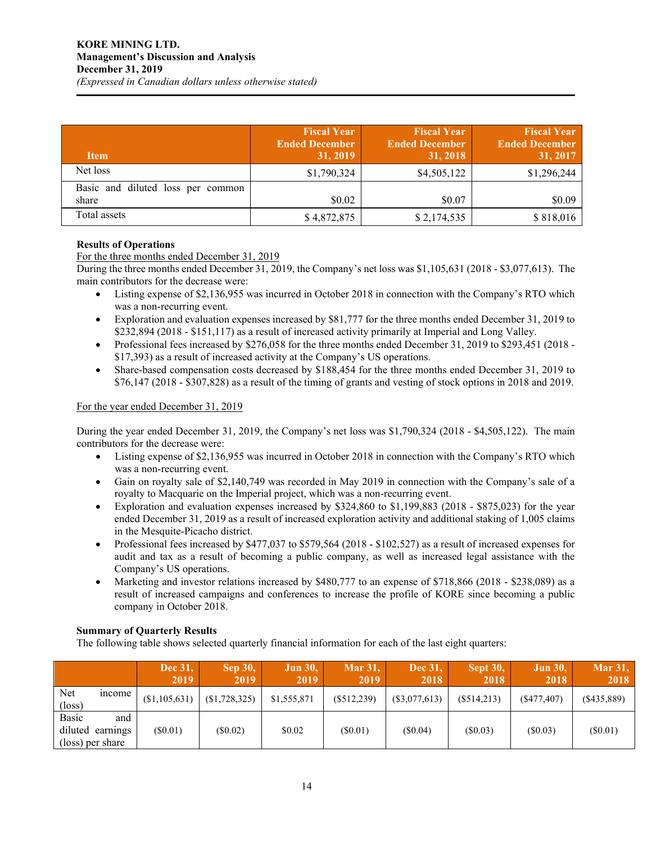| <b>Item</b>                                | <b>Fiscal Year</b><br><b>Ended December</b><br>31, 2019 | <b>Fiscal Year</b><br><b>Ended December</b><br>31, 2018 | <b>Fiscal Year</b><br><b>Ended December</b><br>31, 2017 |
|--------------------------------------------|---------------------------------------------------------|---------------------------------------------------------|---------------------------------------------------------|
| Net loss                                   | \$1,790,324                                             | \$4,505,122                                             | \$1,296,244                                             |
| Basic and diluted loss per common<br>share | \$0.02                                                  | \$0.07                                                  | \$0.09                                                  |
| Total assets                               | \$4,872,875                                             | \$2,174,535                                             | \$818,016                                               |

# **Results of Operations**

For the three months ended December 31, 2019

During the three months ended December 31, 2019, the Company's net loss was \$1,105,631 (2018 - \$3,077,613). The main contributors for the decrease were:

- Listing expense of \$2,136,955 was incurred in October 2018 in connection with the Company's RTO which was a non-recurring event.
- Exploration and evaluation expenses increased by \$81,777 for the three months ended December 31, 2019 to \$232,894 (2018 - \$151,117) as a result of increased activity primarily at Imperial and Long Valley.
- Professional fees increased by \$276,058 for the three months ended December 31, 2019 to \$293,451 (2018 \$17,393) as a result of increased activity at the Company's US operations.
- Share-based compensation costs decreased by \$188,454 for the three months ended December 31, 2019 to \$76,147 (2018 - \$307,828) as a result of the timing of grants and vesting of stock options in 2018 and 2019.

# For the year ended December 31, 2019

During the year ended December 31, 2019, the Company's net loss was \$1,790,324 (2018 - \$4,505,122). The main contributors for the decrease were:

- Listing expense of \$2,136,955 was incurred in October 2018 in connection with the Company's RTO which was a non-recurring event.
- Gain on royalty sale of \$2,140,749 was recorded in May 2019 in connection with the Company's sale of a royalty to Macquarie on the Imperial project, which was a non-recurring event.
- Exploration and evaluation expenses increased by \$324,860 to \$1,199,883 (2018 \$875,023) for the year ended December 31, 2019 as a result of increased exploration activity and additional staking of 1,005 claims in the Mesquite-Picacho district.
- Professional fees increased by \$477,037 to \$579,564 (2018 \$102,527) as a result of increased expenses for audit and tax as a result of becoming a public company, as well as increased legal assistance with the Company's US operations.
- Marketing and investor relations increased by \$480,777 to an expense of \$718,866 (2018 \$238,089) as a result of increased campaigns and conferences to increase the profile of KORE since becoming a public company in October 2018.

# **Summary of Quarterly Results**

The following table shows selected quarterly financial information for each of the last eight quarters:

|                        |                                             | <b>Dec 31,</b><br>2019 | <b>Sep 30,</b><br>2019 | <b>Jun 30,</b><br>2019 | <b>Mar 31,</b><br>2019 | Dec 31,<br>2018 | Sept 30,<br>2018 | <b>Jun 30,</b><br>2018 | <b>Mar 31,</b><br>2018 |
|------------------------|---------------------------------------------|------------------------|------------------------|------------------------|------------------------|-----------------|------------------|------------------------|------------------------|
| Net<br>$(\text{loss})$ | mcome                                       | (\$1,105,631)          | (\$1,728,325)          | \$1,555,871            | $(\$512,239)$          | (\$3,077,613)   | (S514.213)       | (S477, 407)            | $($ \$435,889)         |
| Basic                  | and<br>diluted earnings<br>(loss) per share | $(\$0.01)$             | $(\$0.02)$             | \$0.02                 | $(\$0.01)$             | (S0.04)         | (S0.03)          | (S0.03)                | (S0.01)                |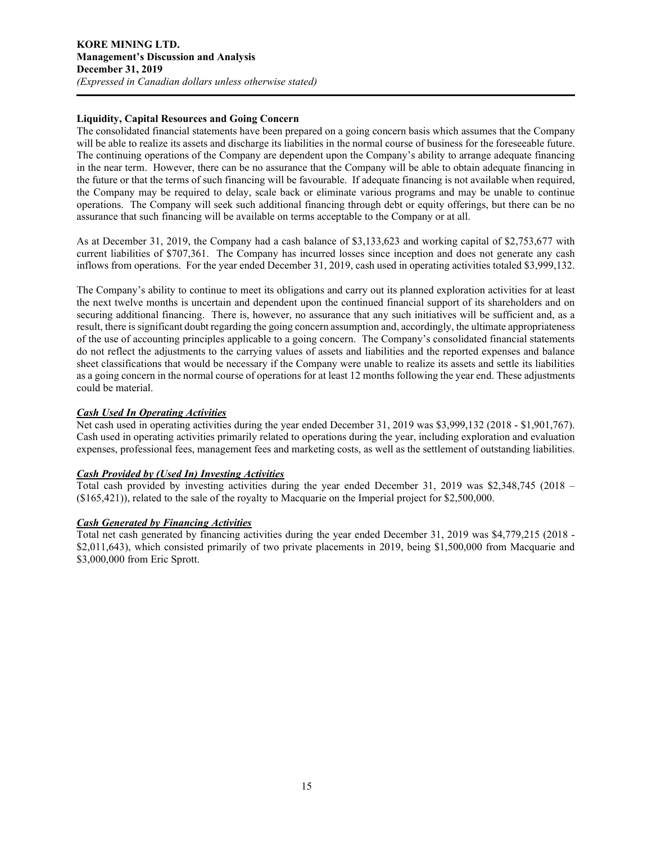## **Liquidity, Capital Resources and Going Concern**

The consolidated financial statements have been prepared on a going concern basis which assumes that the Company will be able to realize its assets and discharge its liabilities in the normal course of business for the foreseeable future. The continuing operations of the Company are dependent upon the Company's ability to arrange adequate financing in the near term. However, there can be no assurance that the Company will be able to obtain adequate financing in the future or that the terms of such financing will be favourable. If adequate financing is not available when required, the Company may be required to delay, scale back or eliminate various programs and may be unable to continue operations. The Company will seek such additional financing through debt or equity offerings, but there can be no assurance that such financing will be available on terms acceptable to the Company or at all.

As at December 31, 2019, the Company had a cash balance of \$3,133,623 and working capital of \$2,753,677 with current liabilities of \$707,361. The Company has incurred losses since inception and does not generate any cash inflows from operations. For the year ended December 31, 2019, cash used in operating activities totaled \$3,999,132.

The Company's ability to continue to meet its obligations and carry out its planned exploration activities for at least the next twelve months is uncertain and dependent upon the continued financial support of its shareholders and on securing additional financing. There is, however, no assurance that any such initiatives will be sufficient and, as a result, there is significant doubt regarding the going concern assumption and, accordingly, the ultimate appropriateness of the use of accounting principles applicable to a going concern. The Company's consolidated financial statements do not reflect the adjustments to the carrying values of assets and liabilities and the reported expenses and balance sheet classifications that would be necessary if the Company were unable to realize its assets and settle its liabilities as a going concern in the normal course of operations for at least 12 months following the year end. These adjustments could be material.

## *Cash Used In Operating Activities*

Net cash used in operating activities during the year ended December 31, 2019 was \$3,999,132 (2018 - \$1,901,767). Cash used in operating activities primarily related to operations during the year, including exploration and evaluation expenses, professional fees, management fees and marketing costs, as well as the settlement of outstanding liabilities.

# *Cash Provided by (Used In) Investing Activities*

Total cash provided by investing activities during the year ended December 31, 2019 was \$2,348,745 (2018 – (\$165,421)), related to the sale of the royalty to Macquarie on the Imperial project for \$2,500,000.

## *Cash Generated by Financing Activities*

Total net cash generated by financing activities during the year ended December 31, 2019 was \$4,779,215 (2018 - \$2,011,643), which consisted primarily of two private placements in 2019, being \$1,500,000 from Macquarie and \$3,000,000 from Eric Sprott.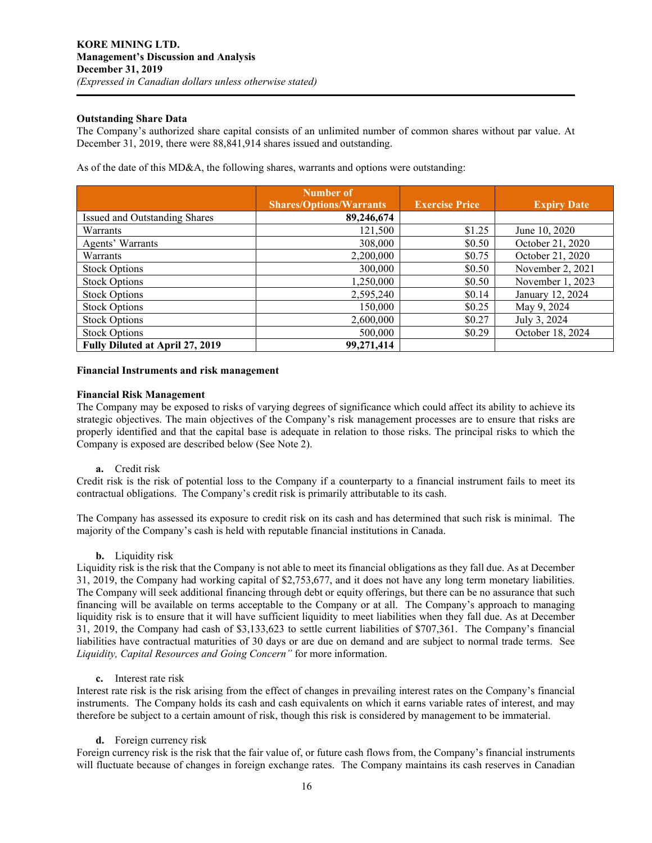## **Outstanding Share Data**

The Company's authorized share capital consists of an unlimited number of common shares without par value. At December 31, 2019, there were 88,841,914 shares issued and outstanding.

As of the date of this MD&A, the following shares, warrants and options were outstanding:

|                                 | Number of<br><b>Shares/Options/Warrants</b> | <b>Exercise Price</b> | <b>Expiry Date</b> |
|---------------------------------|---------------------------------------------|-----------------------|--------------------|
| Issued and Outstanding Shares   | 89,246,674                                  |                       |                    |
| Warrants                        | 121,500                                     | \$1.25                | June 10, 2020      |
| Agents' Warrants                | 308,000                                     | \$0.50                | October 21, 2020   |
| Warrants                        | 2,200,000                                   | \$0.75                | October 21, 2020   |
| <b>Stock Options</b>            | 300,000                                     | \$0.50                | November 2, 2021   |
| <b>Stock Options</b>            | 1,250,000                                   | \$0.50                | November 1, 2023   |
| <b>Stock Options</b>            | 2,595,240                                   | \$0.14                | January 12, 2024   |
| <b>Stock Options</b>            | 150,000                                     | \$0.25                | May 9, 2024        |
| <b>Stock Options</b>            | 2,600,000                                   | \$0.27                | July 3, 2024       |
| <b>Stock Options</b>            | 500,000                                     | \$0.29                | October 18, 2024   |
| Fully Diluted at April 27, 2019 | 99,271,414                                  |                       |                    |

#### **Financial Instruments and risk management**

#### **Financial Risk Management**

The Company may be exposed to risks of varying degrees of significance which could affect its ability to achieve its strategic objectives. The main objectives of the Company's risk management processes are to ensure that risks are properly identified and that the capital base is adequate in relation to those risks. The principal risks to which the Company is exposed are described below (See Note 2).

#### **a.** Credit risk

Credit risk is the risk of potential loss to the Company if a counterparty to a financial instrument fails to meet its contractual obligations. The Company's credit risk is primarily attributable to its cash.

The Company has assessed its exposure to credit risk on its cash and has determined that such risk is minimal. The majority of the Company's cash is held with reputable financial institutions in Canada.

**b.** Liquidity risk

Liquidity risk is the risk that the Company is not able to meet its financial obligations as they fall due. As at December 31, 2019, the Company had working capital of \$2,753,677, and it does not have any long term monetary liabilities. The Company will seek additional financing through debt or equity offerings, but there can be no assurance that such financing will be available on terms acceptable to the Company or at all. The Company's approach to managing liquidity risk is to ensure that it will have sufficient liquidity to meet liabilities when they fall due. As at December 31, 2019, the Company had cash of \$3,133,623 to settle current liabilities of \$707,361. The Company's financial liabilities have contractual maturities of 30 days or are due on demand and are subject to normal trade terms. See *Liquidity, Capital Resources and Going Concern"* for more information.

**c.** Interest rate risk

Interest rate risk is the risk arising from the effect of changes in prevailing interest rates on the Company's financial instruments. The Company holds its cash and cash equivalents on which it earns variable rates of interest, and may therefore be subject to a certain amount of risk, though this risk is considered by management to be immaterial.

**d.** Foreign currency risk

Foreign currency risk is the risk that the fair value of, or future cash flows from, the Company's financial instruments will fluctuate because of changes in foreign exchange rates. The Company maintains its cash reserves in Canadian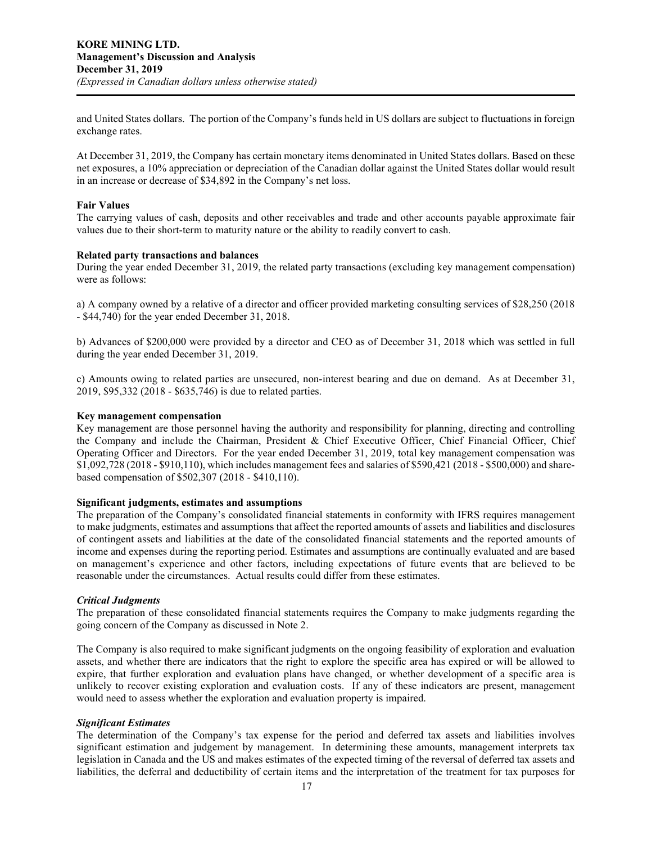and United States dollars. The portion of the Company's funds held in US dollars are subject to fluctuations in foreign exchange rates.

At December 31, 2019, the Company has certain monetary items denominated in United States dollars. Based on these net exposures, a 10% appreciation or depreciation of the Canadian dollar against the United States dollar would result in an increase or decrease of \$34,892 in the Company's net loss.

#### **Fair Values**

The carrying values of cash, deposits and other receivables and trade and other accounts payable approximate fair values due to their short-term to maturity nature or the ability to readily convert to cash.

#### **Related party transactions and balances**

During the year ended December 31, 2019, the related party transactions (excluding key management compensation) were as follows:

a) A company owned by a relative of a director and officer provided marketing consulting services of \$28,250 (2018 - \$44,740) for the year ended December 31, 2018.

b) Advances of \$200,000 were provided by a director and CEO as of December 31, 2018 which was settled in full during the year ended December 31, 2019.

c) Amounts owing to related parties are unsecured, non-interest bearing and due on demand. As at December 31, 2019, \$95,332 (2018 - \$635,746) is due to related parties.

#### **Key management compensation**

Key management are those personnel having the authority and responsibility for planning, directing and controlling the Company and include the Chairman, President & Chief Executive Officer, Chief Financial Officer, Chief Operating Officer and Directors. For the year ended December 31, 2019, total key management compensation was \$1,092,728 (2018 - \$910,110), which includes management fees and salaries of \$590,421 (2018 - \$500,000) and sharebased compensation of \$502,307 (2018 - \$410,110).

#### **Significant judgments, estimates and assumptions**

The preparation of the Company's consolidated financial statements in conformity with IFRS requires management to make judgments, estimates and assumptions that affect the reported amounts of assets and liabilities and disclosures of contingent assets and liabilities at the date of the consolidated financial statements and the reported amounts of income and expenses during the reporting period. Estimates and assumptions are continually evaluated and are based on management's experience and other factors, including expectations of future events that are believed to be reasonable under the circumstances. Actual results could differ from these estimates.

#### *Critical Judgments*

The preparation of these consolidated financial statements requires the Company to make judgments regarding the going concern of the Company as discussed in Note 2.

The Company is also required to make significant judgments on the ongoing feasibility of exploration and evaluation assets, and whether there are indicators that the right to explore the specific area has expired or will be allowed to expire, that further exploration and evaluation plans have changed, or whether development of a specific area is unlikely to recover existing exploration and evaluation costs. If any of these indicators are present, management would need to assess whether the exploration and evaluation property is impaired.

#### *Significant Estimates*

The determination of the Company's tax expense for the period and deferred tax assets and liabilities involves significant estimation and judgement by management. In determining these amounts, management interprets tax legislation in Canada and the US and makes estimates of the expected timing of the reversal of deferred tax assets and liabilities, the deferral and deductibility of certain items and the interpretation of the treatment for tax purposes for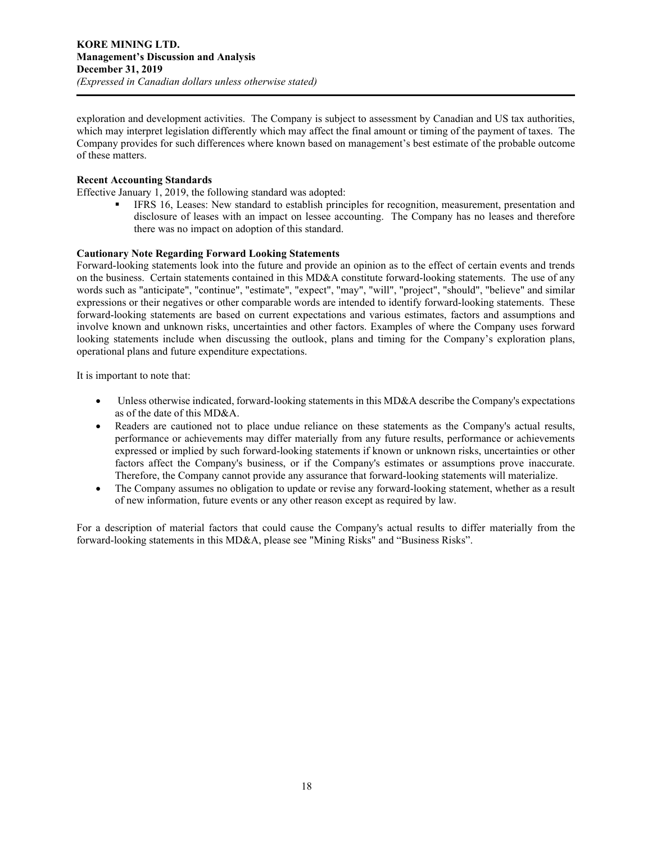exploration and development activities. The Company is subject to assessment by Canadian and US tax authorities, which may interpret legislation differently which may affect the final amount or timing of the payment of taxes. The Company provides for such differences where known based on management's best estimate of the probable outcome of these matters.

## **Recent Accounting Standards**

Effective January 1, 2019, the following standard was adopted:

 IFRS 16, Leases: New standard to establish principles for recognition, measurement, presentation and disclosure of leases with an impact on lessee accounting. The Company has no leases and therefore there was no impact on adoption of this standard.

## **Cautionary Note Regarding Forward Looking Statements**

Forward-looking statements look into the future and provide an opinion as to the effect of certain events and trends on the business. Certain statements contained in this MD&A constitute forward-looking statements. The use of any words such as "anticipate", "continue", "estimate", "expect", "may", "will", "project", "should", "believe" and similar expressions or their negatives or other comparable words are intended to identify forward-looking statements. These forward-looking statements are based on current expectations and various estimates, factors and assumptions and involve known and unknown risks, uncertainties and other factors. Examples of where the Company uses forward looking statements include when discussing the outlook, plans and timing for the Company's exploration plans, operational plans and future expenditure expectations.

It is important to note that:

- Unless otherwise indicated, forward-looking statements in this MD&A describe the Company's expectations as of the date of this MD&A.
- Readers are cautioned not to place undue reliance on these statements as the Company's actual results, performance or achievements may differ materially from any future results, performance or achievements expressed or implied by such forward-looking statements if known or unknown risks, uncertainties or other factors affect the Company's business, or if the Company's estimates or assumptions prove inaccurate. Therefore, the Company cannot provide any assurance that forward-looking statements will materialize.
- The Company assumes no obligation to update or revise any forward-looking statement, whether as a result of new information, future events or any other reason except as required by law.

For a description of material factors that could cause the Company's actual results to differ materially from the forward-looking statements in this MD&A, please see "Mining Risks" and "Business Risks".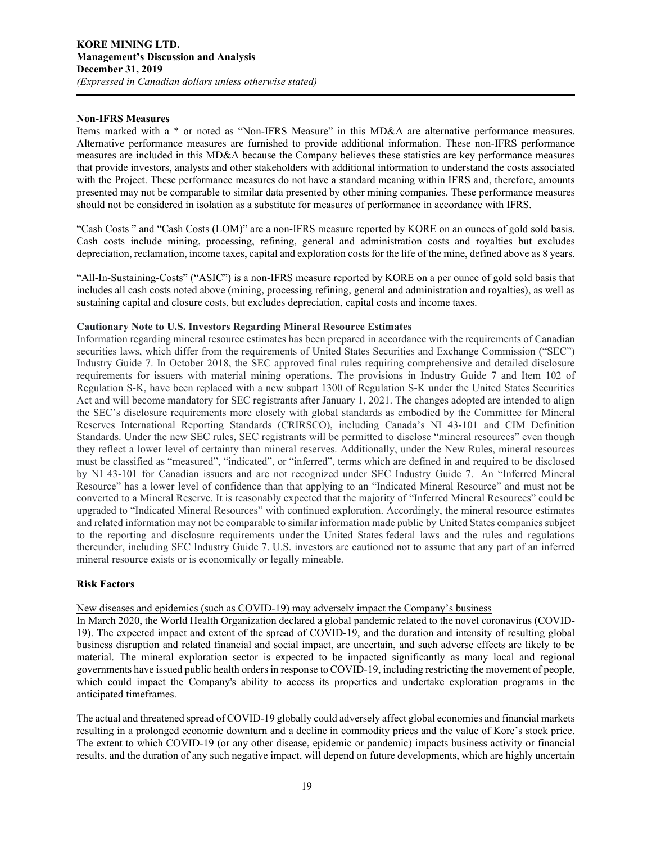#### **Non-IFRS Measures**

Items marked with a \* or noted as "Non-IFRS Measure" in this MD&A are alternative performance measures. Alternative performance measures are furnished to provide additional information. These non-IFRS performance measures are included in this MD&A because the Company believes these statistics are key performance measures that provide investors, analysts and other stakeholders with additional information to understand the costs associated with the Project. These performance measures do not have a standard meaning within IFRS and, therefore, amounts presented may not be comparable to similar data presented by other mining companies. These performance measures should not be considered in isolation as a substitute for measures of performance in accordance with IFRS.

"Cash Costs " and "Cash Costs (LOM)" are a non-IFRS measure reported by KORE on an ounces of gold sold basis. Cash costs include mining, processing, refining, general and administration costs and royalties but excludes depreciation, reclamation, income taxes, capital and exploration costs for the life of the mine, defined above as 8 years.

"All-In-Sustaining-Costs" ("ASIC") is a non-IFRS measure reported by KORE on a per ounce of gold sold basis that includes all cash costs noted above (mining, processing refining, general and administration and royalties), as well as sustaining capital and closure costs, but excludes depreciation, capital costs and income taxes.

## **Cautionary Note to U.S. Investors Regarding Mineral Resource Estimates**

Information regarding mineral resource estimates has been prepared in accordance with the requirements of Canadian securities laws, which differ from the requirements of United States Securities and Exchange Commission ("SEC") Industry Guide 7. In October 2018, the SEC approved final rules requiring comprehensive and detailed disclosure requirements for issuers with material mining operations. The provisions in Industry Guide 7 and Item 102 of Regulation S-K, have been replaced with a new subpart 1300 of Regulation S-K under the United States Securities Act and will become mandatory for SEC registrants after January 1, 2021. The changes adopted are intended to align the SEC's disclosure requirements more closely with global standards as embodied by the Committee for Mineral Reserves International Reporting Standards (CRIRSCO), including Canada's NI 43-101 and CIM Definition Standards. Under the new SEC rules, SEC registrants will be permitted to disclose "mineral resources" even though they reflect a lower level of certainty than mineral reserves. Additionally, under the New Rules, mineral resources must be classified as "measured", "indicated", or "inferred", terms which are defined in and required to be disclosed by NI 43-101 for Canadian issuers and are not recognized under SEC Industry Guide 7. An "Inferred Mineral Resource" has a lower level of confidence than that applying to an "Indicated Mineral Resource" and must not be converted to a Mineral Reserve. It is reasonably expected that the majority of "Inferred Mineral Resources" could be upgraded to "Indicated Mineral Resources" with continued exploration. Accordingly, the mineral resource estimates and related information may not be comparable to similar information made public by United States companies subject to the reporting and disclosure requirements under the United States federal laws and the rules and regulations thereunder, including SEC Industry Guide 7. U.S. investors are cautioned not to assume that any part of an inferred mineral resource exists or is economically or legally mineable.

#### **Risk Factors**

New diseases and epidemics (such as COVID-19) may adversely impact the Company's business

In March 2020, the World Health Organization declared a global pandemic related to the novel coronavirus (COVID-19). The expected impact and extent of the spread of COVID-19, and the duration and intensity of resulting global business disruption and related financial and social impact, are uncertain, and such adverse effects are likely to be material. The mineral exploration sector is expected to be impacted significantly as many local and regional governments have issued public health orders in response to COVID-19, including restricting the movement of people, which could impact the Company's ability to access its properties and undertake exploration programs in the anticipated timeframes.

The actual and threatened spread of COVID-19 globally could adversely affect global economies and financial markets resulting in a prolonged economic downturn and a decline in commodity prices and the value of Kore's stock price. The extent to which COVID-19 (or any other disease, epidemic or pandemic) impacts business activity or financial results, and the duration of any such negative impact, will depend on future developments, which are highly uncertain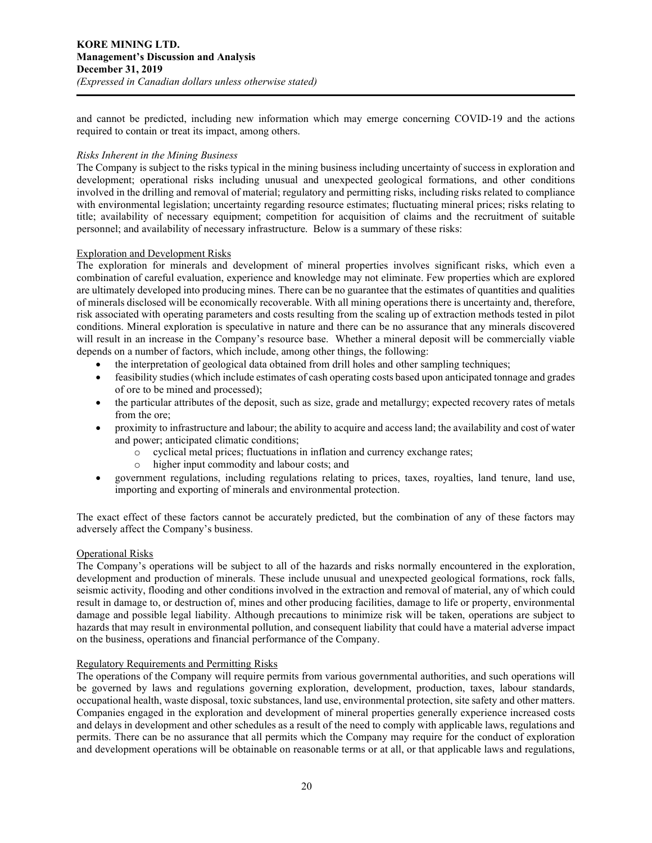and cannot be predicted, including new information which may emerge concerning COVID-19 and the actions required to contain or treat its impact, among others.

## *Risks Inherent in the Mining Business*

The Company is subject to the risks typical in the mining business including uncertainty of success in exploration and development; operational risks including unusual and unexpected geological formations, and other conditions involved in the drilling and removal of material; regulatory and permitting risks, including risks related to compliance with environmental legislation; uncertainty regarding resource estimates; fluctuating mineral prices; risks relating to title; availability of necessary equipment; competition for acquisition of claims and the recruitment of suitable personnel; and availability of necessary infrastructure. Below is a summary of these risks:

#### Exploration and Development Risks

The exploration for minerals and development of mineral properties involves significant risks, which even a combination of careful evaluation, experience and knowledge may not eliminate. Few properties which are explored are ultimately developed into producing mines. There can be no guarantee that the estimates of quantities and qualities of minerals disclosed will be economically recoverable. With all mining operations there is uncertainty and, therefore, risk associated with operating parameters and costs resulting from the scaling up of extraction methods tested in pilot conditions. Mineral exploration is speculative in nature and there can be no assurance that any minerals discovered will result in an increase in the Company's resource base. Whether a mineral deposit will be commercially viable depends on a number of factors, which include, among other things, the following:

- the interpretation of geological data obtained from drill holes and other sampling techniques;
- feasibility studies (which include estimates of cash operating costs based upon anticipated tonnage and grades of ore to be mined and processed);
- the particular attributes of the deposit, such as size, grade and metallurgy; expected recovery rates of metals from the ore;
- proximity to infrastructure and labour; the ability to acquire and access land; the availability and cost of water and power; anticipated climatic conditions;
	- $\circ$  cyclical metal prices; fluctuations in inflation and currency exchange rates;<br> $\circ$  higher input commodity and labour costs: and
		- higher input commodity and labour costs; and
- government regulations, including regulations relating to prices, taxes, royalties, land tenure, land use, importing and exporting of minerals and environmental protection.

The exact effect of these factors cannot be accurately predicted, but the combination of any of these factors may adversely affect the Company's business.

#### Operational Risks

The Company's operations will be subject to all of the hazards and risks normally encountered in the exploration, development and production of minerals. These include unusual and unexpected geological formations, rock falls, seismic activity, flooding and other conditions involved in the extraction and removal of material, any of which could result in damage to, or destruction of, mines and other producing facilities, damage to life or property, environmental damage and possible legal liability. Although precautions to minimize risk will be taken, operations are subject to hazards that may result in environmental pollution, and consequent liability that could have a material adverse impact on the business, operations and financial performance of the Company.

#### Regulatory Requirements and Permitting Risks

The operations of the Company will require permits from various governmental authorities, and such operations will be governed by laws and regulations governing exploration, development, production, taxes, labour standards, occupational health, waste disposal, toxic substances, land use, environmental protection, site safety and other matters. Companies engaged in the exploration and development of mineral properties generally experience increased costs and delays in development and other schedules as a result of the need to comply with applicable laws, regulations and permits. There can be no assurance that all permits which the Company may require for the conduct of exploration and development operations will be obtainable on reasonable terms or at all, or that applicable laws and regulations,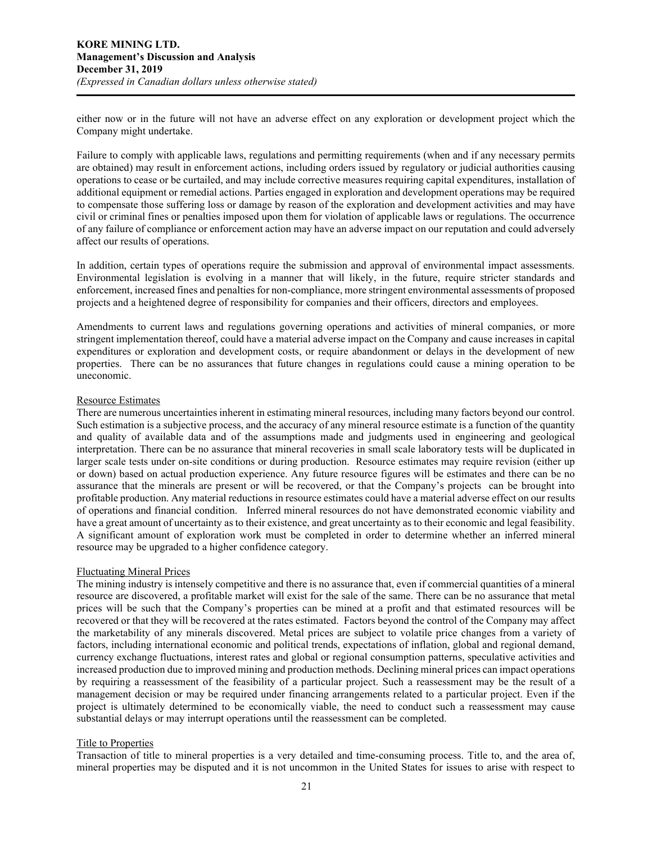either now or in the future will not have an adverse effect on any exploration or development project which the Company might undertake.

Failure to comply with applicable laws, regulations and permitting requirements (when and if any necessary permits are obtained) may result in enforcement actions, including orders issued by regulatory or judicial authorities causing operations to cease or be curtailed, and may include corrective measures requiring capital expenditures, installation of additional equipment or remedial actions. Parties engaged in exploration and development operations may be required to compensate those suffering loss or damage by reason of the exploration and development activities and may have civil or criminal fines or penalties imposed upon them for violation of applicable laws or regulations. The occurrence of any failure of compliance or enforcement action may have an adverse impact on our reputation and could adversely affect our results of operations.

In addition, certain types of operations require the submission and approval of environmental impact assessments. Environmental legislation is evolving in a manner that will likely, in the future, require stricter standards and enforcement, increased fines and penalties for non-compliance, more stringent environmental assessments of proposed projects and a heightened degree of responsibility for companies and their officers, directors and employees.

Amendments to current laws and regulations governing operations and activities of mineral companies, or more stringent implementation thereof, could have a material adverse impact on the Company and cause increases in capital expenditures or exploration and development costs, or require abandonment or delays in the development of new properties. There can be no assurances that future changes in regulations could cause a mining operation to be uneconomic.

#### Resource Estimates

There are numerous uncertainties inherent in estimating mineral resources, including many factors beyond our control. Such estimation is a subjective process, and the accuracy of any mineral resource estimate is a function of the quantity and quality of available data and of the assumptions made and judgments used in engineering and geological interpretation. There can be no assurance that mineral recoveries in small scale laboratory tests will be duplicated in larger scale tests under on-site conditions or during production. Resource estimates may require revision (either up or down) based on actual production experience. Any future resource figures will be estimates and there can be no assurance that the minerals are present or will be recovered, or that the Company's projects can be brought into profitable production. Any material reductions in resource estimates could have a material adverse effect on our results of operations and financial condition. Inferred mineral resources do not have demonstrated economic viability and have a great amount of uncertainty as to their existence, and great uncertainty as to their economic and legal feasibility. A significant amount of exploration work must be completed in order to determine whether an inferred mineral resource may be upgraded to a higher confidence category.

# Fluctuating Mineral Prices

The mining industry is intensely competitive and there is no assurance that, even if commercial quantities of a mineral resource are discovered, a profitable market will exist for the sale of the same. There can be no assurance that metal prices will be such that the Company's properties can be mined at a profit and that estimated resources will be recovered or that they will be recovered at the rates estimated. Factors beyond the control of the Company may affect the marketability of any minerals discovered. Metal prices are subject to volatile price changes from a variety of factors, including international economic and political trends, expectations of inflation, global and regional demand, currency exchange fluctuations, interest rates and global or regional consumption patterns, speculative activities and increased production due to improved mining and production methods. Declining mineral prices can impact operations by requiring a reassessment of the feasibility of a particular project. Such a reassessment may be the result of a management decision or may be required under financing arrangements related to a particular project. Even if the project is ultimately determined to be economically viable, the need to conduct such a reassessment may cause substantial delays or may interrupt operations until the reassessment can be completed.

# Title to Properties

Transaction of title to mineral properties is a very detailed and time-consuming process. Title to, and the area of, mineral properties may be disputed and it is not uncommon in the United States for issues to arise with respect to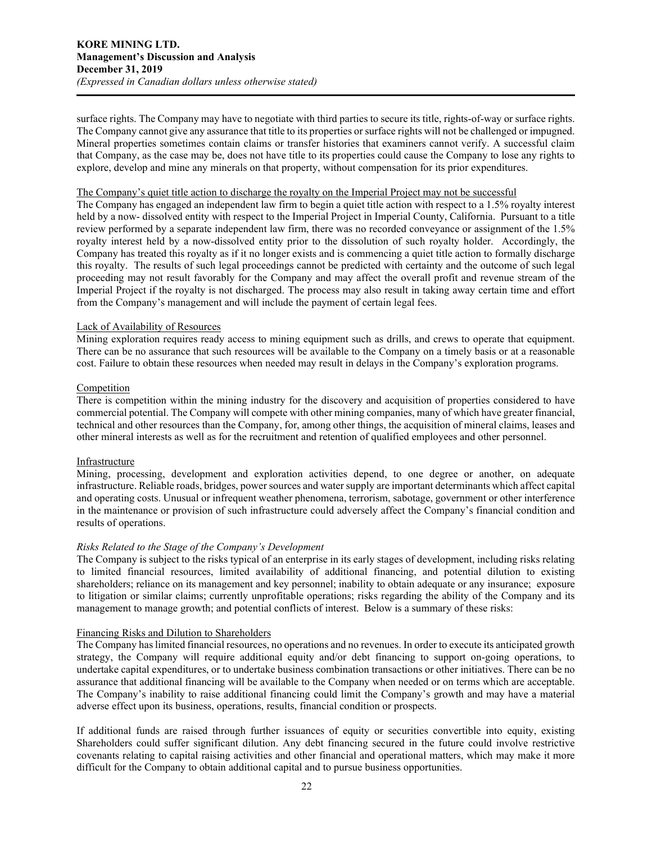surface rights. The Company may have to negotiate with third parties to secure its title, rights-of-way or surface rights. The Company cannot give any assurance that title to its properties or surface rights will not be challenged or impugned. Mineral properties sometimes contain claims or transfer histories that examiners cannot verify. A successful claim that Company, as the case may be, does not have title to its properties could cause the Company to lose any rights to explore, develop and mine any minerals on that property, without compensation for its prior expenditures.

#### The Company's quiet title action to discharge the royalty on the Imperial Project may not be successful

The Company has engaged an independent law firm to begin a quiet title action with respect to a 1.5% royalty interest held by a now- dissolved entity with respect to the Imperial Project in Imperial County, California. Pursuant to a title review performed by a separate independent law firm, there was no recorded conveyance or assignment of the 1.5% royalty interest held by a now-dissolved entity prior to the dissolution of such royalty holder. Accordingly, the Company has treated this royalty as if it no longer exists and is commencing a quiet title action to formally discharge this royalty. The results of such legal proceedings cannot be predicted with certainty and the outcome of such legal proceeding may not result favorably for the Company and may affect the overall profit and revenue stream of the Imperial Project if the royalty is not discharged. The process may also result in taking away certain time and effort from the Company's management and will include the payment of certain legal fees.

#### Lack of Availability of Resources

Mining exploration requires ready access to mining equipment such as drills, and crews to operate that equipment. There can be no assurance that such resources will be available to the Company on a timely basis or at a reasonable cost. Failure to obtain these resources when needed may result in delays in the Company's exploration programs.

# Competition

There is competition within the mining industry for the discovery and acquisition of properties considered to have commercial potential. The Company will compete with other mining companies, many of which have greater financial, technical and other resources than the Company, for, among other things, the acquisition of mineral claims, leases and other mineral interests as well as for the recruitment and retention of qualified employees and other personnel.

## Infrastructure

Mining, processing, development and exploration activities depend, to one degree or another, on adequate infrastructure. Reliable roads, bridges, power sources and water supply are important determinants which affect capital and operating costs. Unusual or infrequent weather phenomena, terrorism, sabotage, government or other interference in the maintenance or provision of such infrastructure could adversely affect the Company's financial condition and results of operations.

#### *Risks Related to the Stage of the Company's Development*

The Company is subject to the risks typical of an enterprise in its early stages of development, including risks relating to limited financial resources, limited availability of additional financing, and potential dilution to existing shareholders; reliance on its management and key personnel; inability to obtain adequate or any insurance; exposure to litigation or similar claims; currently unprofitable operations; risks regarding the ability of the Company and its management to manage growth; and potential conflicts of interest. Below is a summary of these risks:

## Financing Risks and Dilution to Shareholders

The Company has limited financial resources, no operations and no revenues. In order to execute its anticipated growth strategy, the Company will require additional equity and/or debt financing to support on-going operations, to undertake capital expenditures, or to undertake business combination transactions or other initiatives. There can be no assurance that additional financing will be available to the Company when needed or on terms which are acceptable. The Company's inability to raise additional financing could limit the Company's growth and may have a material adverse effect upon its business, operations, results, financial condition or prospects.

If additional funds are raised through further issuances of equity or securities convertible into equity, existing Shareholders could suffer significant dilution. Any debt financing secured in the future could involve restrictive covenants relating to capital raising activities and other financial and operational matters, which may make it more difficult for the Company to obtain additional capital and to pursue business opportunities.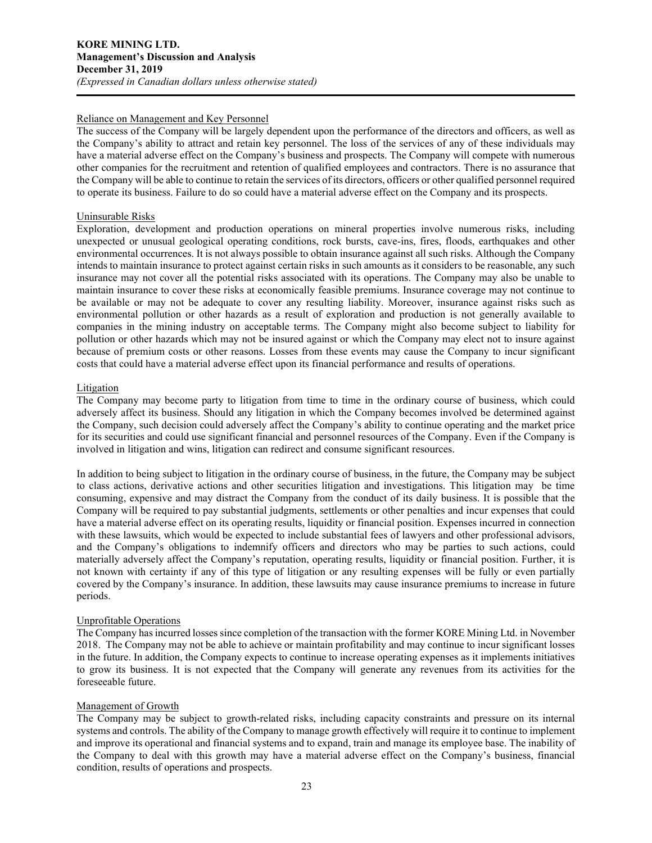#### Reliance on Management and Key Personnel

The success of the Company will be largely dependent upon the performance of the directors and officers, as well as the Company's ability to attract and retain key personnel. The loss of the services of any of these individuals may have a material adverse effect on the Company's business and prospects. The Company will compete with numerous other companies for the recruitment and retention of qualified employees and contractors. There is no assurance that the Company will be able to continue to retain the services of its directors, officers or other qualified personnel required to operate its business. Failure to do so could have a material adverse effect on the Company and its prospects.

## Uninsurable Risks

Exploration, development and production operations on mineral properties involve numerous risks, including unexpected or unusual geological operating conditions, rock bursts, cave-ins, fires, floods, earthquakes and other environmental occurrences. It is not always possible to obtain insurance against all such risks. Although the Company intends to maintain insurance to protect against certain risks in such amounts as it considers to be reasonable, any such insurance may not cover all the potential risks associated with its operations. The Company may also be unable to maintain insurance to cover these risks at economically feasible premiums. Insurance coverage may not continue to be available or may not be adequate to cover any resulting liability. Moreover, insurance against risks such as environmental pollution or other hazards as a result of exploration and production is not generally available to companies in the mining industry on acceptable terms. The Company might also become subject to liability for pollution or other hazards which may not be insured against or which the Company may elect not to insure against because of premium costs or other reasons. Losses from these events may cause the Company to incur significant costs that could have a material adverse effect upon its financial performance and results of operations.

## Litigation

The Company may become party to litigation from time to time in the ordinary course of business, which could adversely affect its business. Should any litigation in which the Company becomes involved be determined against the Company, such decision could adversely affect the Company's ability to continue operating and the market price for its securities and could use significant financial and personnel resources of the Company. Even if the Company is involved in litigation and wins, litigation can redirect and consume significant resources.

In addition to being subject to litigation in the ordinary course of business, in the future, the Company may be subject to class actions, derivative actions and other securities litigation and investigations. This litigation may be time consuming, expensive and may distract the Company from the conduct of its daily business. It is possible that the Company will be required to pay substantial judgments, settlements or other penalties and incur expenses that could have a material adverse effect on its operating results, liquidity or financial position. Expenses incurred in connection with these lawsuits, which would be expected to include substantial fees of lawyers and other professional advisors, and the Company's obligations to indemnify officers and directors who may be parties to such actions, could materially adversely affect the Company's reputation, operating results, liquidity or financial position. Further, it is not known with certainty if any of this type of litigation or any resulting expenses will be fully or even partially covered by the Company's insurance. In addition, these lawsuits may cause insurance premiums to increase in future periods.

# Unprofitable Operations

The Company has incurred losses since completion of the transaction with the former KORE Mining Ltd. in November 2018. The Company may not be able to achieve or maintain profitability and may continue to incur significant losses in the future. In addition, the Company expects to continue to increase operating expenses as it implements initiatives to grow its business. It is not expected that the Company will generate any revenues from its activities for the foreseeable future.

#### Management of Growth

The Company may be subject to growth-related risks, including capacity constraints and pressure on its internal systems and controls. The ability of the Company to manage growth effectively will require it to continue to implement and improve its operational and financial systems and to expand, train and manage its employee base. The inability of the Company to deal with this growth may have a material adverse effect on the Company's business, financial condition, results of operations and prospects.